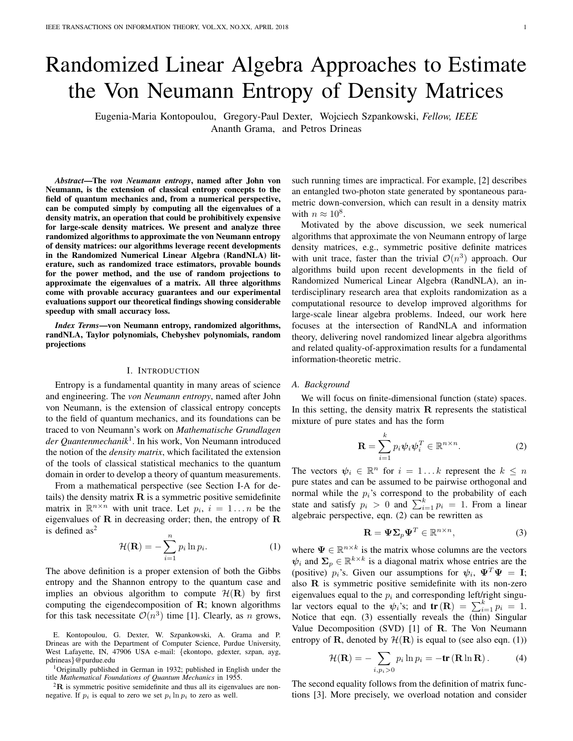# Randomized Linear Algebra Approaches to Estimate the Von Neumann Entropy of Density Matrices

Eugenia-Maria Kontopoulou, Gregory-Paul Dexter, Wojciech Szpankowski, *Fellow, IEEE* Ananth Grama, and Petros Drineas

*Abstract*—The *von Neumann entropy*, named after John von Neumann, is the extension of classical entropy concepts to the field of quantum mechanics and, from a numerical perspective, can be computed simply by computing all the eigenvalues of a density matrix, an operation that could be prohibitively expensive for large-scale density matrices. We present and analyze three randomized algorithms to approximate the von Neumann entropy of density matrices: our algorithms leverage recent developments in the Randomized Numerical Linear Algebra (RandNLA) literature, such as randomized trace estimators, provable bounds for the power method, and the use of random projections to approximate the eigenvalues of a matrix. All three algorithms come with provable accuracy guarantees and our experimental evaluations support our theoretical findings showing considerable speedup with small accuracy loss.

*Index Terms*—von Neumann entropy, randomized algorithms, randNLA, Taylor polynomials, Chebyshev polynomials, random projections

## I. INTRODUCTION

Entropy is a fundamental quantity in many areas of science and engineering. The *von Neumann entropy*, named after John von Neumann, is the extension of classical entropy concepts to the field of quantum mechanics, and its foundations can be traced to von Neumann's work on *Mathematische Grundlagen der Quantenmechanik*<sup>1</sup> . In his work, Von Neumann introduced the notion of the *density matrix*, which facilitated the extension of the tools of classical statistical mechanics to the quantum domain in order to develop a theory of quantum measurements.

From a mathematical perspective (see Section I-A for details) the density matrix  $\bf{R}$  is a symmetric positive semidefinite matrix in  $\mathbb{R}^{n \times n}$  with unit trace. Let  $p_i$ ,  $i = 1...n$  be the eigenvalues of  $R$  in decreasing order; then, the entropy of  $R$ is defined  $as<sup>2</sup>$ 

$$
\mathcal{H}(\mathbf{R}) = -\sum_{i=1}^{n} p_i \ln p_i.
$$
 (1)

The above definition is a proper extension of both the Gibbs entropy and the Shannon entropy to the quantum case and implies an obvious algorithm to compute  $\mathcal{H}(\mathbf{R})$  by first computing the eigendecomposition of  $\bf R$ ; known algorithms for this task necessitate  $\mathcal{O}(n^3)$  time [1]. Clearly, as n grows,

E. Kontopoulou, G. Dexter, W. Szpankowski, A. Grama and P. Drineas are with the Department of Computer Science, Purdue University, West Lafayette, IN, 47906 USA e-mail: {ekontopo, gdexter, szpan, ayg, pdrineas}@purdue.edu

<sup>1</sup>Originally published in German in 1932; published in English under the title *Mathematical Foundations of Quantum Mechanics* in 1955.

 ${}^{2}$ **R** is symmetric positive semidefinite and thus all its eigenvalues are nonnegative. If  $p_i$  is equal to zero we set  $p_i \ln p_i$  to zero as well.

such running times are impractical. For example, [2] describes an entangled two-photon state generated by spontaneous parametric down-conversion, which can result in a density matrix with  $n \approx 10^8$ .

Motivated by the above discussion, we seek numerical algorithms that approximate the von Neumann entropy of large density matrices, e.g., symmetric positive definite matrices with unit trace, faster than the trivial  $\mathcal{O}(n^3)$  approach. Our algorithms build upon recent developments in the field of Randomized Numerical Linear Algebra (RandNLA), an interdisciplinary research area that exploits randomization as a computational resource to develop improved algorithms for large-scale linear algebra problems. Indeed, our work here focuses at the intersection of RandNLA and information theory, delivering novel randomized linear algebra algorithms and related quality-of-approximation results for a fundamental information-theoretic metric.

## *A. Background*

We will focus on finite-dimensional function (state) spaces. In this setting, the density matrix  $\bf{R}$  represents the statistical mixture of pure states and has the form

$$
\mathbf{R} = \sum_{i=1}^{k} p_i \psi_i \psi_i^T \in \mathbb{R}^{n \times n}.
$$
 (2)

The vectors  $\psi_i \in \mathbb{R}^n$  for  $i = 1...k$  represent the  $k \leq n$ pure states and can be assumed to be pairwise orthogonal and normal while the  $p_i$ 's correspond to the probability of each state and satisfy  $p_i > 0$  and  $\sum_{i=1}^{k} p_i = 1$ . From a linear algebraic perspective, eqn. (2) can be rewritten as

$$
\mathbf{R} = \mathbf{\Psi} \mathbf{\Sigma}_p \mathbf{\Psi}^T \in \mathbb{R}^{n \times n},\tag{3}
$$

where  $\Psi \in \mathbb{R}^{n \times k}$  is the matrix whose columns are the vectors  $\psi_i$  and  $\Sigma_p \in \mathbb{R}^{k \times k}$  is a diagonal matrix whose entries are the (positive)  $p_i$ 's. Given our assumptions for  $\psi_i$ ,  $\Psi^T \Psi = I$ ; also R is symmetric positive semidefinite with its non-zero eigenvalues equal to the  $p_i$  and corresponding left/right singular vectors equal to the  $\psi_i$ 's; and  $\mathbf{tr}(\mathbf{R}) = \sum_{i=1}^k p_i = 1$ . Notice that eqn. (3) essentially reveals the (thin) Singular Value Decomposition (SVD) [1] of R. The Von Neumann entropy of **R**, denoted by  $\mathcal{H}(\mathbf{R})$  is equal to (see also eqn. (1))

$$
\mathcal{H}(\mathbf{R}) = -\sum_{i,p_i>0} p_i \ln p_i = -\mathbf{tr}(\mathbf{R} \ln \mathbf{R}). \tag{4}
$$

The second equality follows from the definition of matrix functions [3]. More precisely, we overload notation and consider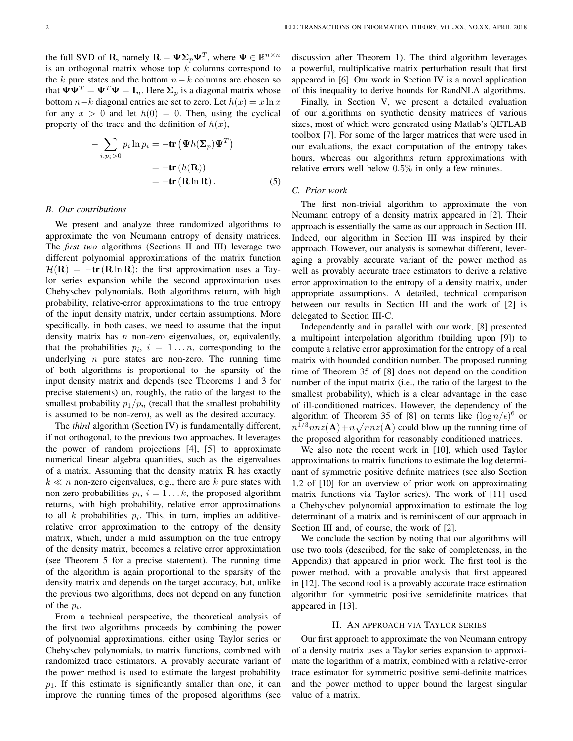the full SVD of R, namely  $\mathbf{R} = \mathbf{\Psi} \mathbf{\Sigma}_p \mathbf{\Psi}^T$ , where  $\mathbf{\Psi} \in \mathbb{R}^{n \times n}$ is an orthogonal matrix whose top  $k$  columns correspond to the k pure states and the bottom  $n-k$  columns are chosen so that  $\Psi \Psi^T = \Psi^T \Psi = I_n$ . Here  $\Sigma_p$  is a diagonal matrix whose bottom  $n-k$  diagonal entries are set to zero. Let  $h(x) = x \ln x$ for any  $x > 0$  and let  $h(0) = 0$ . Then, using the cyclical property of the trace and the definition of  $h(x)$ ,

$$
-\sum_{i,p_i>0} p_i \ln p_i = -\mathbf{tr} \left( \mathbf{\Psi} h(\mathbf{\Sigma}_p) \mathbf{\Psi}^T \right)
$$

$$
= -\mathbf{tr} \left( h(\mathbf{R}) \right)
$$

$$
= -\mathbf{tr} \left( \mathbf{R} \ln \mathbf{R} \right). \tag{5}
$$

## *B. Our contributions*

We present and analyze three randomized algorithms to approximate the von Neumann entropy of density matrices. The *first two* algorithms (Sections II and III) leverage two different polynomial approximations of the matrix function  $\mathcal{H}(\mathbf{R}) = -\mathbf{tr}(\mathbf{R} \ln \mathbf{R})$ : the first approximation uses a Taylor series expansion while the second approximation uses Chebyschev polynomials. Both algorithms return, with high probability, relative-error approximations to the true entropy of the input density matrix, under certain assumptions. More specifically, in both cases, we need to assume that the input density matrix has  $n$  non-zero eigenvalues, or, equivalently, that the probabilities  $p_i$ ,  $i = 1...n$ , corresponding to the underlying  $n$  pure states are non-zero. The running time of both algorithms is proportional to the sparsity of the input density matrix and depends (see Theorems 1 and 3 for precise statements) on, roughly, the ratio of the largest to the smallest probability  $p_1/p_n$  (recall that the smallest probability is assumed to be non-zero), as well as the desired accuracy.

The *third* algorithm (Section IV) is fundamentally different, if not orthogonal, to the previous two approaches. It leverages the power of random projections [4], [5] to approximate numerical linear algebra quantities, such as the eigenvalues of a matrix. Assuming that the density matrix  $\bf{R}$  has exactly  $k \ll n$  non-zero eigenvalues, e.g., there are k pure states with non-zero probabilities  $p_i$ ,  $i = 1...k$ , the proposed algorithm returns, with high probability, relative error approximations to all  $k$  probabilities  $p_i$ . This, in turn, implies an additiverelative error approximation to the entropy of the density matrix, which, under a mild assumption on the true entropy of the density matrix, becomes a relative error approximation (see Theorem 5 for a precise statement). The running time of the algorithm is again proportional to the sparsity of the density matrix and depends on the target accuracy, but, unlike the previous two algorithms, does not depend on any function of the  $p_i$ .

From a technical perspective, the theoretical analysis of the first two algorithms proceeds by combining the power of polynomial approximations, either using Taylor series or Chebyschev polynomials, to matrix functions, combined with randomized trace estimators. A provably accurate variant of the power method is used to estimate the largest probability  $p_1$ . If this estimate is significantly smaller than one, it can improve the running times of the proposed algorithms (see

discussion after Theorem 1). The third algorithm leverages a powerful, multiplicative matrix perturbation result that first appeared in [6]. Our work in Section IV is a novel application of this inequality to derive bounds for RandNLA algorithms.

Finally, in Section V, we present a detailed evaluation of our algorithms on synthetic density matrices of various sizes, most of which were generated using Matlab's QETLAB toolbox [7]. For some of the larger matrices that were used in our evaluations, the exact computation of the entropy takes hours, whereas our algorithms return approximations with relative errors well below 0.5% in only a few minutes.

## *C. Prior work*

The first non-trivial algorithm to approximate the von Neumann entropy of a density matrix appeared in [2]. Their approach is essentially the same as our approach in Section III. Indeed, our algorithm in Section III was inspired by their approach. However, our analysis is somewhat different, leveraging a provably accurate variant of the power method as well as provably accurate trace estimators to derive a relative error approximation to the entropy of a density matrix, under appropriate assumptions. A detailed, technical comparison between our results in Section III and the work of [2] is delegated to Section III-C.

Independently and in parallel with our work, [8] presented a multipoint interpolation algorithm (building upon [9]) to compute a relative error approximation for the entropy of a real matrix with bounded condition number. The proposed running time of Theorem 35 of [8] does not depend on the condition number of the input matrix (i.e., the ratio of the largest to the smallest probability), which is a clear advantage in the case of ill-conditioned matrices. However, the dependency of the algorithm of Theorem 35 of [8] on terms like  $(\log n/\epsilon)^6$  or  $n^{1/3}$ nnz $(A)$ +n $\sqrt{nnz(A)}$  could blow up the running time of the proposed algorithm for reasonably conditioned matrices.

We also note the recent work in [10], which used Taylor approximations to matrix functions to estimate the log determinant of symmetric positive definite matrices (see also Section 1.2 of [10] for an overview of prior work on approximating matrix functions via Taylor series). The work of [11] used a Chebyschev polynomial approximation to estimate the log determinant of a matrix and is reminiscent of our approach in Section III and, of course, the work of [2].

We conclude the section by noting that our algorithms will use two tools (described, for the sake of completeness, in the Appendix) that appeared in prior work. The first tool is the power method, with a provable analysis that first appeared in [12]. The second tool is a provably accurate trace estimation algorithm for symmetric positive semidefinite matrices that appeared in [13].

## II. AN APPROACH VIA TAYLOR SERIES

Our first approach to approximate the von Neumann entropy of a density matrix uses a Taylor series expansion to approximate the logarithm of a matrix, combined with a relative-error trace estimator for symmetric positive semi-definite matrices and the power method to upper bound the largest singular value of a matrix.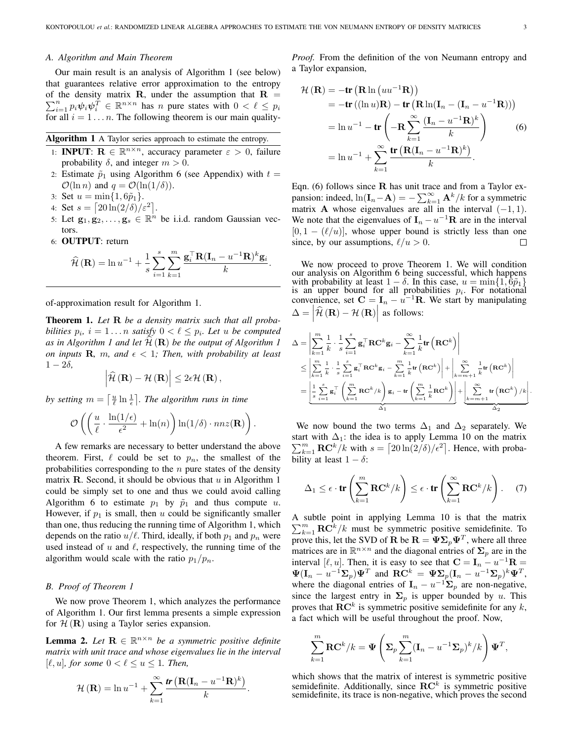# *A. Algorithm and Main Theorem*

Our main result is an analysis of Algorithm 1 (see below) that guarantees relative error approximation to the entropy of the density matrix **R**, under the assumption that  $R =$  $\sum_{i=1}^n p_i \psi_i \psi_i^T \in \mathbb{R}^{n \times n}$  has n pure states with  $0 < \ell \leq p_i$ for all  $i = 1...n$ . The following theorem is our main quality-

|  |  |  |  | Algorithm 1 A Taylor series approach to estimate the entropy. |
|--|--|--|--|---------------------------------------------------------------|
|  |  |  |  |                                                               |

- 1: **INPUT:**  $\mathbf{R} \in \mathbb{R}^{n \times n}$ , accuracy parameter  $\varepsilon > 0$ , failure probability  $\delta$ , and integer  $m > 0$ .
- 2: Estimate  $\tilde{p}_1$  using Algorithm 6 (see Appendix) with  $t =$  $\mathcal{O}(\ln n)$  and  $q = \mathcal{O}(\ln(1/\delta)).$
- 3: Set  $u = \min\{1, 6\tilde{p}_1\}.$
- 4: Set  $s = \left\lceil \frac{20 \ln(2/\delta)}{\varepsilon^2} \right\rceil$ .
- 5: Let  $\mathbf{g}_1, \mathbf{g}_2, \ldots, \mathbf{g}_s \in \mathbb{R}^n$  be i.i.d. random Gaussian vectors.
- 6: OUTPUT: return

$$
\widehat{\mathcal{H}}\left(\mathbf{R}\right) = \ln u^{-1} + \frac{1}{s} \sum_{i=1}^{s} \sum_{k=1}^{m} \frac{\mathbf{g}_i^{\top} \mathbf{R} (\mathbf{I}_n - u^{-1} \mathbf{R})^k \mathbf{g}_i}{k}.
$$

of-approximation result for Algorithm 1.

Theorem 1. *Let* R *be a density matrix such that all probabilities*  $p_i$ ,  $i = 1...n$  *satisfy*  $0 < \ell \leq p_i$ . Let u *be computed* as in Algorithm 1 and let  $H(\mathbf{R})$  be the output of Algorithm 1 *on inputs* **R**, *m*, and  $\epsilon$  < 1*; Then, with probability at least*  $1 - 2\delta$ ,

$$
\left|\widehat{\mathcal{H}}\left(\mathbf{R}\right)-\mathcal{H}\left(\mathbf{R}\right)\right|\leq 2\epsilon\mathcal{H}\left(\mathbf{R}\right),\,
$$

by setting  $m = \left\lceil \frac{u}{\ell} \ln \frac{1}{\epsilon} \right\rceil$ . The algorithm runs in time

$$
\mathcal{O}\left(\left(\frac{u}{\ell}\cdot\frac{\ln(1/\epsilon)}{\epsilon^2}+\ln(n)\right)\ln(1/\delta)\cdot nnz(\mathbf{R})\right).
$$

A few remarks are necessary to better understand the above theorem. First,  $\ell$  could be set to  $p_n$ , the smallest of the probabilities corresponding to the  $n$  pure states of the density matrix R. Second, it should be obvious that  $u$  in Algorithm 1 could be simply set to one and thus we could avoid calling Algorithm 6 to estimate  $p_1$  by  $\tilde{p}_1$  and thus compute u. However, if  $p_1$  is small, then u could be significantly smaller than one, thus reducing the running time of Algorithm 1, which depends on the ratio  $u/\ell$ . Third, ideally, if both  $p_1$  and  $p_n$  were used instead of  $u$  and  $\ell$ , respectively, the running time of the algorithm would scale with the ratio  $p_1/p_n$ .

## *B. Proof of Theorem 1*

We now prove Theorem 1, which analyzes the performance of Algorithm 1. Our first lemma presents a simple expression for  $H(\mathbf{R})$  using a Taylor series expansion.

**Lemma 2.** Let  $\mathbf{R} \in \mathbb{R}^{n \times n}$  be a symmetric positive definite *matrix with unit trace and whose eigenvalues lie in the interval*  $[\ell, u]$ *, for some*  $0 < \ell \leq u \leq 1$ *. Then,* 

$$
\mathcal{H}(\mathbf{R}) = \ln u^{-1} + \sum_{k=1}^{\infty} \frac{\mathbf{tr}(\mathbf{R}(\mathbf{I}_n - u^{-1}\mathbf{R})^k)}{k}.
$$

*Proof.* From the definition of the von Neumann entropy and a Taylor expansion,

$$
\mathcal{H}(\mathbf{R}) = -\mathbf{tr}(\mathbf{R}\ln(uu^{-1}\mathbf{R}))
$$
  
=  $-\mathbf{tr}((\ln u)\mathbf{R}) - \mathbf{tr}(\mathbf{R}\ln(\mathbf{I}_n - (\mathbf{I}_n - u^{-1}\mathbf{R})))$   
=  $\ln u^{-1} - \mathbf{tr}(-\mathbf{R}\sum_{k=1}^{\infty} \frac{(\mathbf{I}_n - u^{-1}\mathbf{R})^k}{k}\Big)$  (6)  
=  $\ln u^{-1} + \sum_{k=1}^{\infty} \frac{\mathbf{tr}(\mathbf{R}(\mathbf{I}_n - u^{-1}\mathbf{R})^k)}{k}.$ 

Eqn. (6) follows since  $\bf{R}$  has unit trace and from a Taylor expansion: indeed,  $ln(\mathbf{I}_n - \mathbf{A}) = -\sum_{k=1}^{\infty} \mathbf{A}^k / k$  for a symmetric matrix **A** whose eigenvalues are all in the interval  $(-1, 1)$ . We note that the eigenvalues of  $I_n - u^{-1}R$  are in the interval  $[0, 1 - (\ell/u)]$ , whose upper bound is strictly less than one since, by our assumptions,  $\ell/u > 0$ .  $\Box$ 

We now proceed to prove Theorem 1. We will condition our analysis on Algorithm 6 being successful, which happens with probability at least  $1 - \delta$ . In this case,  $u = \min\{1, \hat{6}\tilde{p}_1\}$ is an upper bound for all probabilities  $p_i$ . For notational convenience, set  $\mathbf{C} = \mathbf{I}_n - u^{-1}\mathbf{R}$ . We start by manipulating  $\Delta = |\hat{\mathcal{H}}(\mathbf{R}) - \mathcal{H}(\mathbf{R})|$  as follows:

$$
\Delta = \left| \sum_{k=1}^{m} \frac{1}{k} \cdot \frac{1}{s} \sum_{i=1}^{s} \mathbf{g}_{i}^{\top} \mathbf{R} \mathbf{C}^{k} \mathbf{g}_{i} - \sum_{k=1}^{\infty} \frac{1}{k} \mathbf{tr} \left( \mathbf{R} \mathbf{C}^{k} \right) \right|
$$
  
\n
$$
\leq \left| \sum_{k=1}^{m} \frac{1}{k} \cdot \frac{1}{s} \sum_{i=1}^{s} \mathbf{g}_{i}^{\top} \mathbf{R} \mathbf{C}^{k} \mathbf{g}_{i} - \sum_{k=1}^{m} \frac{1}{k} \mathbf{tr} \left( \mathbf{R} \mathbf{C}^{k} \right) \right| + \left| \sum_{k=m+1}^{\infty} \frac{1}{k} \mathbf{tr} \left( \mathbf{R} \mathbf{C}^{k} \right) \right|
$$
  
\n
$$
= \left| \frac{1}{s} \sum_{i=1}^{s} \mathbf{g}_{i}^{\top} \left( \sum_{k=1}^{m} \mathbf{R} \mathbf{C}^{k} / k \right) \mathbf{g}_{i} - \mathbf{tr} \left( \sum_{k=1}^{m} \frac{1}{k} \mathbf{R} \mathbf{C}^{k} \right) \right| + \left| \sum_{k=m+1}^{\infty} \mathbf{tr} \left( \mathbf{R} \mathbf{C}^{k} \right) / k \right|.
$$

We now bound the two terms  $\Delta_1$  and  $\Delta_2$  separately. We start with  $\Delta_1$ : the idea is to apply Lemma 10 on the matrix  $\sum_{k=1}^{m} \mathbf{R} \mathbf{C}^{k} / k$  with  $s = \left[20 \ln(2/\delta) / \epsilon^2\right]$ . Hence, with probability at least  $1 - \delta$ :

$$
\Delta_1 \leq \epsilon \cdot tr\left(\sum_{k=1}^m \mathbf{RC}^k / k\right) \leq \epsilon \cdot tr\left(\sum_{k=1}^\infty \mathbf{RC}^k / k\right). \tag{7}
$$

A subtle point in applying Lemma 10 is that the matrix  $\sum_{k=1}^{m} \mathbf{R}\hat{\mathbf{C}}^{k}/k$  must be symmetric positive semidefinite. To prove this, let the SVD of **R** be  $\mathbf{R} = \Psi \Sigma_p \Psi^T$ , where all three matrices are in  $\mathbb{R}^{n \times n}$  and the diagonal entries of  $\Sigma_p$  are in the interval [ $\ell, u$ ]. Then, it is easy to see that  $\mathbf{C} = \mathbf{I}_n - u^{-1} \mathbf{R} =$  $\Psi(\mathbf{I}_n - u^{-1} \mathbf{\Sigma}_p) \Psi^T$  and  $\mathbf{R} \mathbf{C}^k = \Psi \mathbf{\Sigma}_p (\mathbf{I}_n - u^{-1} \mathbf{\Sigma}_p)^k \Psi^T$ , where the diagonal entries of  $\mathbf{I}_n - u^{-1} \mathbf{\Sigma}_p$  are non-negative, since the largest entry in  $\Sigma_p$  is upper bounded by u. This proves that  $\mathbf{RC}^k$  is symmetric positive semidefinite for any k, a fact which will be useful throughout the proof. Now,

$$
\sum_{k=1}^{m} \mathbf{RC}^{k}/k = \Psi\left(\mathbf{\Sigma}_{p} \sum_{k=1}^{m} (\mathbf{I}_{n} - u^{-1} \mathbf{\Sigma}_{p})^{k}/k\right) \Psi^{T},
$$

which shows that the matrix of interest is symmetric positive semidefinite. Additionally, since  $\mathbf{RC}^{k}$  is symmetric positive semidefinite, its trace is non-negative, which proves the second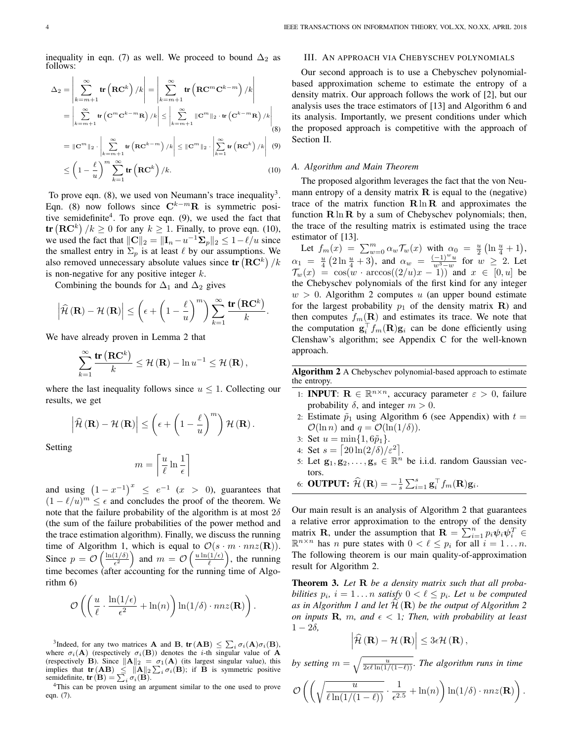inequality in eqn. (7) as well. We proceed to bound  $\Delta_2$  as follows:

$$
\Delta_{2} = \left| \sum_{k=m+1}^{\infty} \text{tr} \left( \mathbf{R} \mathbf{C}^{k} \right) / k \right| = \left| \sum_{k=m+1}^{\infty} \text{tr} \left( \mathbf{R} \mathbf{C}^{m} \mathbf{C}^{k-m} \right) / k \right|
$$
  
\n
$$
= \left| \sum_{k=m+1}^{\infty} \text{tr} \left( \mathbf{C}^{m} \mathbf{C}^{k-m} \mathbf{R} \right) / k \right| \le \left| \sum_{k=m+1}^{\infty} \|\mathbf{C}^{m}\|_{2} \cdot \text{tr} \left( \mathbf{C}^{k-m} \mathbf{R} \right) / k \right|
$$
  
\n
$$
= \|\mathbf{C}^{m}\|_{2} \cdot \left| \sum_{k=m+1}^{\infty} \text{tr} \left( \mathbf{R} \mathbf{C}^{k-m} \right) / k \right| \le \|\mathbf{C}^{m}\|_{2} \cdot \left| \sum_{k=1}^{\infty} \text{tr} \left( \mathbf{R} \mathbf{C}^{k} \right) / k \right|
$$
  
\n
$$
\le \left( 1 - \frac{\ell}{u} \right)^{m} \sum_{k=1}^{\infty} \text{tr} \left( \mathbf{R} \mathbf{C}^{k} \right) / k.
$$
 (10)

To prove eqn.  $(8)$ , we used von Neumann's trace inequality<sup>3</sup>. Eqn. (8) now follows since  $\mathbf{C}^{k-m}$ **R** is symmetric positive semidefinite<sup>4</sup>. To prove eqn. (9), we used the fact that **tr**  $(\mathbf{RC}^k)/k \ge 0$  for any  $k \ge 1$ . Finally, to prove eqn. (10), we used the fact that  $\|\mathbf{C}\|_2 = \|\mathbf{I}_n - u^{-1}\mathbf{\Sigma}_p\|_2 \leq 1 - \ell/u$  since the smallest entry in  $\Sigma_p$  is at least  $\ell$  by our assumptions. We also removed unnecessary absolute values since  $\text{tr}\left(\mathbf{RC}^{k}\right)/k$ is non-negative for any positive integer  $k$ .

Combining the bounds for  $\Delta_1$  and  $\Delta_2$  gives

$$
\left|\widehat{\mathcal{H}}\left(\mathbf{R}\right)-\mathcal{H}\left(\mathbf{R}\right)\right| \leq \left(\epsilon + \left(1-\frac{\ell}{u}\right)^m\right)\sum_{k=1}^{\infty}\frac{\mathrm{tr}\left(\mathbf{R}\mathbf{C}^k\right)}{k}.
$$

We have already proven in Lemma 2 that

$$
\sum_{k=1}^{\infty} \frac{\text{tr}(\mathbf{RC}^k)}{k} \le \mathcal{H}(\mathbf{R}) - \ln u^{-1} \le \mathcal{H}(\mathbf{R}),
$$

where the last inequality follows since  $u \leq 1$ . Collecting our results, we get

$$
\left|\widehat{\mathcal{H}}\left(\mathbf{R}\right)-\mathcal{H}\left(\mathbf{R}\right)\right| \leq \left(\epsilon+\left(1-\frac{\ell}{u}\right)^m\right)\mathcal{H}\left(\mathbf{R}\right).
$$

Setting

$$
m = \left\lceil \frac{u}{\ell} \ln \frac{1}{\epsilon} \right\rceil
$$

and using  $(1-x^{-1})^x \le e^{-1}$   $(x > 0)$ , guarantees that  $(1 - \ell/u)^m \leq \epsilon$  and concludes the proof of the theorem. We note that the failure probability of the algorithm is at most  $2\delta$ (the sum of the failure probabilities of the power method and the trace estimation algorithm). Finally, we discuss the running time of Algorithm 1, which is equal to  $\mathcal{O}(s \cdot m \cdot nnz(\mathbf{R}))$ . Since  $p = \mathcal{O}\left(\frac{\ln(1/\delta)}{\epsilon^2}\right)$  $\left(\frac{1/\delta}{\epsilon^2}\right)$  and  $m = \mathcal{O}\left(\frac{u \ln(1/\epsilon)}{\ell}\right)$  $\left(\frac{1}{\ell}\right)$ , the running time becomes (after accounting for the running time of Algorithm 6)

$$
\mathcal{O}\left(\left(\frac{u}{\ell}\cdot\frac{\ln(1/\epsilon)}{\epsilon^2}+\ln(n)\right)\ln(1/\delta)\cdot nnz(\mathbf{R})\right).
$$

<sup>4</sup>This can be proven using an argument similar to the one used to prove eqn. (7).

# III. AN APPROACH VIA CHEBYSCHEV POLYNOMIALS

Our second approach is to use a Chebyschev polynomialbased approximation scheme to estimate the entropy of a density matrix. Our approach follows the work of [2], but our analysis uses the trace estimators of [13] and Algorithm 6 and its analysis. Importantly, we present conditions under which the proposed approach is competitive with the approach of Section II.

#### *A. Algorithm and Main Theorem*

The proposed algorithm leverages the fact that the von Neumann entropy of a density matrix  $\bf{R}$  is equal to the (negative) trace of the matrix function  $\mathbf{R} \ln \mathbf{R}$  and approximates the function  $\mathbf{R} \ln \mathbf{R}$  by a sum of Chebyschev polynomials; then, the trace of the resulting matrix is estimated using the trace estimator of [13].

Let  $f_m(x) = \sum_{w=0}^m \alpha_w \mathcal{T}_w(x)$  with  $\alpha_0 = \frac{u}{2} \left( \ln \frac{u}{4} + 1 \right)$ , Let  $J_m(x) = \sum_{w=0}^{\infty} \alpha_w \nu_w(x)$  which  $\alpha_w = \frac{(1)^w u}{w^3 - w}$  for  $\alpha_w = \frac{u}{w^3 - w}$  for  $\alpha_w$  $\frac{-1)^{-u}}{w^3-w}$  for  $w \geq 2$ . Let  $\mathcal{T}_w(x) = \cos(w \cdot \arccos((2/u)x - 1))$  and  $x \in [0, u]$  be the Chebyschev polynomials of the first kind for any integer  $w > 0$ . Algorithm 2 computes u (an upper bound estimate for the largest probability  $p_1$  of the density matrix **R**) and then computes  $f_m(\mathbf{R})$  and estimates its trace. We note that the computation  $\mathbf{g}_i^{\top} f_m(\mathbf{R}) \mathbf{g}_i$  can be done efficiently using Clenshaw's algorithm; see Appendix C for the well-known approach.

Algorithm 2 A Chebyschev polynomial-based approach to estimate the entropy.

- 1: **INPUT:**  $\mathbf{R} \in \mathbb{R}^{n \times n}$ , accuracy parameter  $\varepsilon > 0$ , failure probability  $\delta$ , and integer  $m > 0$ .
- 2: Estimate  $\tilde{p}_1$  using Algorithm 6 (see Appendix) with  $t =$  $\mathcal{O}(\ln n)$  and  $q = \mathcal{O}(\ln(1/\delta)).$
- 3: Set  $u = \min\{1, 6\tilde{p}_1\}.$
- 4: Set  $s = \left[20\ln(2/\delta)/\varepsilon^2\right]$ .
- 5: Let  $\mathbf{g}_1, \mathbf{g}_2, \ldots, \mathbf{g}_s \in \mathbb{R}^n$  be i.i.d. random Gaussian vectors.
- 6: **OUTPUT:**  $\widehat{\mathcal{H}}\left(\mathbf{R}\right) = -\frac{1}{s} \sum_{i=1}^{s} \mathbf{g}_{i}^{\top} f_{m}(\mathbf{R}) \mathbf{g}_{i}$ .

Our main result is an analysis of Algorithm 2 that guarantees a relative error approximation to the entropy of the density matrix **R**, under the assumption that  $\mathbf{R} = \sum_{i=1}^{n} p_i \psi_i \psi_i^T \in$  $\mathbb{R}^{n \times n}$  has *n* pure states with  $0 < \ell \leq p_i$  for all  $i = 1...n$ . The following theorem is our main quality-of-approximation result for Algorithm 2.

Theorem 3. *Let* R *be a density matrix such that all probabilities*  $p_i$ ,  $i = 1...n$  *satisfy*  $0 < \ell \leq p_i$ . Let u *be computed* as in Algorithm 1 and let  $H(\mathbf{R})$  be the output of Algorithm 2 *on inputs* **R**, *m*, and  $\epsilon$  < 1*;* Then, with probability at least  $1 - 2\delta$ ,

$$
\left|\widehat{\mathcal{H}}\left(\mathbf{R}\right)-\mathcal{H}\left(\mathbf{R}\right)\right|\leq3\epsilon\mathcal{H}\left(\mathbf{R}\right),\,
$$

*by setting*  $m = \sqrt{\frac{u}{2\epsilon\ell \ln(1/(1-\ell))}}$ *. The algorithm runs in time* 

$$
\mathcal{O}\left(\left(\sqrt{\frac{u}{\ell\ln(1/(1-\ell))}}\cdot \frac{1}{\epsilon^{2.5}} + \ln(n)\right)\ln(1/\delta) \cdot nnz(\mathbf{R})\right).
$$

<sup>&</sup>lt;sup>3</sup>Indeed, for any two matrices **A** and **B**,  $tr(AB) \leq \sum_i \sigma_i(A)\sigma_i(B)$ , where  $\sigma_i(\mathbf{A})$  (respectively  $\sigma_i(\mathbf{B})$ ) denotes the *i*-th singular value of **A** (respectively **B**). Since  $\|\mathbf{A}\|_2 = \sigma_1(\mathbf{A})$  (its largest singular value), this implies that  $\text{tr}(\mathbf{AB}) \leq ||\mathbf{A}||_2 \sum_i \sigma_i(\mathbf{B})$ ; if **B** is symmetric positive semidefinite,  $tr(\mathbf{B}) = \sum_i \sigma_i(\mathbf{B}).$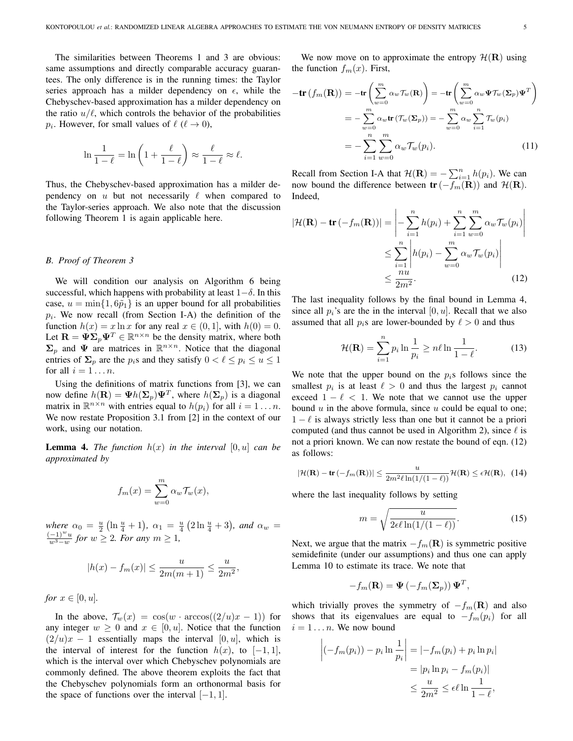The similarities between Theorems 1 and 3 are obvious: same assumptions and directly comparable accuracy guarantees. The only difference is in the running times: the Taylor series approach has a milder dependency on  $\epsilon$ , while the Chebyschev-based approximation has a milder dependency on the ratio  $u/\ell$ , which controls the behavior of the probabilities  $p_i$ . However, for small values of  $\ell$  ( $\ell \rightarrow 0$ ),

$$
\ln\frac{1}{1-\ell} = \ln\left(1+\frac{\ell}{1-\ell}\right) \approx \frac{\ell}{1-\ell} \approx \ell.
$$

Thus, the Chebyschev-based approximation has a milder dependency on  $u$  but not necessarily  $\ell$  when compared to the Taylor-series approach. We also note that the discussion following Theorem 1 is again applicable here.

## *B. Proof of Theorem 3*

We will condition our analysis on Algorithm 6 being successful, which happens with probability at least  $1-\delta$ . In this case,  $u = \min\{1, 6\tilde{p}_1\}$  is an upper bound for all probabilities  $p_i$ . We now recall (from Section I-A) the definition of the function  $h(x) = x \ln x$  for any real  $x \in (0, 1]$ , with  $h(0) = 0$ . Let  $\mathbf{R} = \mathbf{\Psi} \mathbf{\Sigma}_p \mathbf{\Psi}^T \in \mathbb{R}^{n \times n}$  be the density matrix, where both  $\Sigma_p$  and  $\Psi$  are matrices in  $\mathbb{R}^{n \times n}$ . Notice that the diagonal entries of  $\Sigma_p$  are the  $p_i$ s and they satisfy  $0 < \ell \leq p_i \leq u \leq 1$ for all  $i = 1 \ldots n$ .

Using the definitions of matrix functions from [3], we can now define  $h(\mathbf{R}) = \Psi h(\mathbf{\Sigma}_p) \Psi^T$ , where  $h(\mathbf{\Sigma}_p)$  is a diagonal matrix in  $\mathbb{R}^{n \times n}$  with entries equal to  $h(p_i)$  for all  $i = 1 \dots n$ . We now restate Proposition 3.1 from [2] in the context of our work, using our notation.

**Lemma 4.** *The function*  $h(x)$  *in the interval*  $[0, u]$  *can be approximated by*

$$
f_m(x) = \sum_{w=0}^{m} \alpha_w \mathcal{T}_w(x),
$$

 $where \ \alpha_0 = \frac{u}{2} (\ln \frac{u}{4} + 1), \ \alpha_1 = \frac{u}{4} (2 \ln \frac{u}{4} + 3), \ and \ \alpha_w =$  $(-1)^w u$  $\frac{(-1)^{-u}}{w^3-w}$  *for*  $w \ge 2$ *. For any*  $m \ge 1$ *,* 

$$
|h(x) - f_m(x)| \le \frac{u}{2m(m+1)} \le \frac{u}{2m^2},
$$

*for*  $x \in [0, u]$ *.* 

In the above,  $\mathcal{T}_w(x) = \cos(w \cdot \arccos((2/u)x - 1))$  for any integer  $w \geq 0$  and  $x \in [0, u]$ . Notice that the function  $(2/u)x - 1$  essentially maps the interval [0, u], which is the interval of interest for the function  $h(x)$ , to  $[-1, 1]$ , which is the interval over which Chebyschev polynomials are commonly defined. The above theorem exploits the fact that the Chebyschev polynomials form an orthonormal basis for the space of functions over the interval  $[-1, 1]$ .

We now move on to approximate the entropy  $\mathcal{H}(\mathbf{R})$  using the function  $f_m(x)$ . First,

$$
-\mathbf{tr}\left(f_m(\mathbf{R})\right) = -\mathbf{tr}\left(\sum_{w=0}^m \alpha_w \mathcal{T}_w(\mathbf{R})\right) = -\mathbf{tr}\left(\sum_{w=0}^m \alpha_w \Psi \mathcal{T}_w(\mathbf{\Sigma}_p) \Psi^T\right)
$$

$$
= -\sum_{w=0}^m \alpha_w \mathbf{tr}\left(\mathcal{T}_w(\mathbf{\Sigma}_p)\right) = -\sum_{w=0}^m \alpha_w \sum_{i=1}^n \mathcal{T}_w(p_i)
$$

$$
= -\sum_{i=1}^n \sum_{w=0}^m \alpha_w \mathcal{T}_w(p_i). \tag{11}
$$

Recall from Section I-A that  $\mathcal{H}(\mathbf{R}) = -\sum_{i=1}^{n} h(p_i)$ . We can now bound the difference between  $tr(-f_m(R))$  and  $H(R)$ . Indeed,

$$
|\mathcal{H}(\mathbf{R}) - \mathbf{tr}(-f_m(\mathbf{R}))| = \left| -\sum_{i=1}^n h(p_i) + \sum_{i=1}^n \sum_{w=0}^m \alpha_w \mathcal{T}_w(p_i) \right|
$$
  

$$
\leq \sum_{i=1}^n \left| h(p_i) - \sum_{w=0}^m \alpha_w \mathcal{T}_w(p_i) \right|
$$
  

$$
\leq \frac{nu}{2m^2}.
$$
 (12)

The last inequality follows by the final bound in Lemma 4, since all  $p_i$ 's are the in the interval [0, u]. Recall that we also assumed that all  $p_i$ s are lower-bounded by  $\ell > 0$  and thus

$$
\mathcal{H}(\mathbf{R}) = \sum_{i=1}^{n} p_i \ln \frac{1}{p_i} \ge n\ell \ln \frac{1}{1-\ell}.
$$
 (13)

We note that the upper bound on the  $p_i$ s follows since the smallest  $p_i$  is at least  $\ell > 0$  and thus the largest  $p_i$  cannot exceed  $1 - \ell < 1$ . We note that we cannot use the upper bound  $u$  in the above formula, since  $u$  could be equal to one;  $1 - \ell$  is always strictly less than one but it cannot be a priori computed (and thus cannot be used in Algorithm 2), since  $\ell$  is not a priori known. We can now restate the bound of eqn. (12) as follows:

$$
|\mathcal{H}(\mathbf{R}) - \mathbf{tr}(-f_m(\mathbf{R}))| \le \frac{u}{2m^2 \ell \ln(1/(1-\ell))} \mathcal{H}(\mathbf{R}) \le \epsilon \mathcal{H}(\mathbf{R}), \tag{14}
$$

where the last inequality follows by setting

$$
m = \sqrt{\frac{u}{2\epsilon\ell\ln(1/(1-\ell))}}.\tag{15}
$$

Next, we argue that the matrix  $-f_m(\mathbf{R})$  is symmetric positive semidefinite (under our assumptions) and thus one can apply Lemma 10 to estimate its trace. We note that

$$
-f_m(\mathbf{R}) = \mathbf{\Psi}(-f_m(\mathbf{\Sigma}_p))\mathbf{\Psi}^T,
$$

which trivially proves the symmetry of  $-f_m(R)$  and also shows that its eigenvalues are equal to  $-f_m(p_i)$  for all  $i = 1 \dots n$ . We now bound

$$
\left|(-f_m(p_i)) - p_i \ln \frac{1}{p_i}\right| = \left|-f_m(p_i) + p_i \ln p_i\right|
$$

$$
= |p_i \ln p_i - f_m(p_i)|
$$

$$
\leq \frac{u}{2m^2} \leq \epsilon \ell \ln \frac{1}{1-\ell},
$$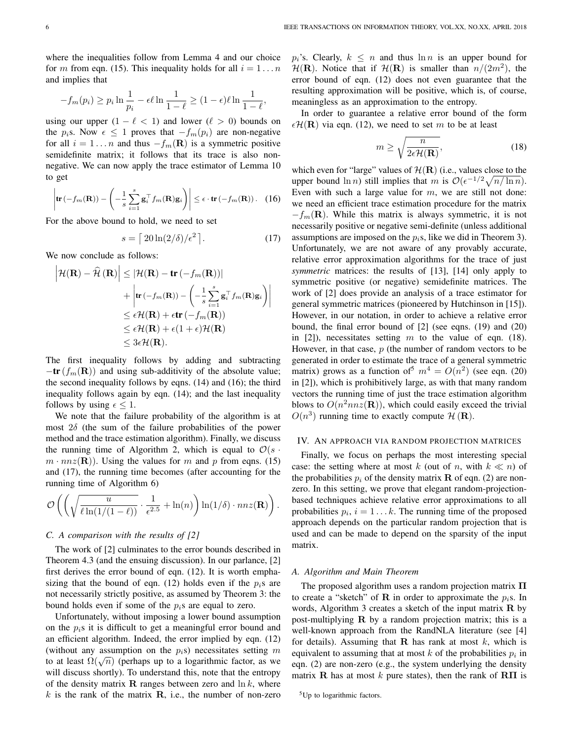where the inequalities follow from Lemma 4 and our choice for m from eqn. (15). This inequality holds for all  $i = 1...n$ and implies that

$$
-f_m(p_i) \ge p_i \ln \frac{1}{p_i} - \epsilon \ell \ln \frac{1}{1-\ell} \ge (1-\epsilon)\ell \ln \frac{1}{1-\ell},
$$

using our upper  $(1 - \ell < 1)$  and lower  $(\ell > 0)$  bounds on the  $p_i$ s. Now  $\epsilon \leq 1$  proves that  $-f_m(p_i)$  are non-negative for all  $i = 1 \dots n$  and thus  $-f_m(\mathbf{R})$  is a symmetric positive semidefinite matrix; it follows that its trace is also nonnegative. We can now apply the trace estimator of Lemma 10 to get

$$
\left|\mathbf{tr}\left(-f_m(\mathbf{R})\right) - \left(-\frac{1}{s}\sum_{i=1}^s \mathbf{g}_i^\top f_m(\mathbf{R})\mathbf{g}_i\right)\right| \leq \epsilon \cdot \mathbf{tr}\left(-f_m(\mathbf{R})\right). \quad (16)
$$

For the above bound to hold, we need to set

$$
s = \left\lceil \frac{20\ln(2/\delta)}{\epsilon^2} \right\rceil. \tag{17}
$$

We now conclude as follows:

$$
\left| \mathcal{H}(\mathbf{R}) - \mathcal{\hat{H}}(\mathbf{R}) \right| \leq \left| \mathcal{H}(\mathbf{R}) - \mathbf{tr}(-f_m(\mathbf{R})) \right|
$$
  
+ 
$$
\left| \mathbf{tr}(-f_m(\mathbf{R})) - \left( -\frac{1}{s} \sum_{i=1}^s \mathbf{g}_i^\top f_m(\mathbf{R}) \mathbf{g}_i \right) \right|
$$
  

$$
\leq \epsilon \mathcal{H}(\mathbf{R}) + \epsilon \mathbf{tr}(-f_m(\mathbf{R}))
$$
  

$$
\leq \epsilon \mathcal{H}(\mathbf{R}) + \epsilon (1 + \epsilon) \mathcal{H}(\mathbf{R})
$$
  

$$
\leq 3\epsilon \mathcal{H}(\mathbf{R}).
$$

The first inequality follows by adding and subtracting  $-\text{tr}(f_m(\mathbf{R}))$  and using sub-additivity of the absolute value; the second inequality follows by eqns. (14) and (16); the third inequality follows again by eqn. (14); and the last inequality follows by using  $\epsilon$  < 1.

We note that the failure probability of the algorithm is at most  $2\delta$  (the sum of the failure probabilities of the power method and the trace estimation algorithm). Finally, we discuss the running time of Algorithm 2, which is equal to  $\mathcal{O}(s \cdot$  $m \cdot nnz(\mathbf{R})$ . Using the values for m and p from eqns. (15) and (17), the running time becomes (after accounting for the running time of Algorithm 6)

$$
\mathcal{O}\left(\left(\sqrt{\frac{u}{\ell\ln(1/(1-\ell))}}\cdot \frac{1}{\epsilon^{2.5}} + \ln(n)\right)\ln(1/\delta) \cdot nnz(\mathbf{R})\right)
$$

## *C. A comparison with the results of [2]*

The work of [2] culminates to the error bounds described in Theorem 4.3 (and the ensuing discussion). In our parlance, [2] first derives the error bound of eqn. (12). It is worth emphasizing that the bound of eqn. (12) holds even if the  $p_i$ s are not necessarily strictly positive, as assumed by Theorem 3: the bound holds even if some of the  $p_i$ s are equal to zero.

Unfortunately, without imposing a lower bound assumption on the  $p_i$ s it is difficult to get a meaningful error bound and an efficient algorithm. Indeed, the error implied by eqn. (12) (without any assumption on the  $p_i$ s) necessitates setting m (without any assumption on the  $p_i$ s) necessitates setting *m* to at least  $\Omega(\sqrt{n})$  (perhaps up to a logarithmic factor, as we will discuss shortly). To understand this, note that the entropy of the density matrix **R** ranges between zero and  $\ln k$ , where  $k$  is the rank of the matrix  $\bf{R}$ , i.e., the number of non-zero  $p_i$ 's. Clearly,  $k \leq n$  and thus  $\ln n$  is an upper bound for  $\mathcal{H}(\mathbf{R})$ . Notice that if  $\mathcal{H}(\mathbf{R})$  is smaller than  $n/(2m^2)$ , the error bound of eqn. (12) does not even guarantee that the resulting approximation will be positive, which is, of course, meaningless as an approximation to the entropy.

In order to guarantee a relative error bound of the form  $\epsilon \mathcal{H}(\mathbf{R})$  via eqn. (12), we need to set m to be at least

$$
m \ge \sqrt{\frac{n}{2\epsilon \mathcal{H}(\mathbf{R})}},\tag{18}
$$

which even for "large" values of  $\mathcal{H}(\mathbf{R})$  (i.e., values close to the upper bound  $\ln n$ ) still implies that m is  $\mathcal{O}(\epsilon^{-1/2}\sqrt{n/\ln n})$ . Even with such a large value for  $m$ , we are still not done: we need an efficient trace estimation procedure for the matrix  $-f_m(\mathbf{R})$ . While this matrix is always symmetric, it is not necessarily positive or negative semi-definite (unless additional assumptions are imposed on the  $p_i$ s, like we did in Theorem 3). Unfortunately, we are not aware of any provably accurate, relative error approximation algorithms for the trace of just *symmetric* matrices: the results of [13], [14] only apply to symmetric positive (or negative) semidefinite matrices. The work of [2] does provide an analysis of a trace estimator for general symmetric matrices (pioneered by Hutchinson in [15]). However, in our notation, in order to achieve a relative error bound, the final error bound of  $[2]$  (see eqns.  $(19)$  and  $(20)$ ) in [2]), necessitates setting m to the value of eqn. (18). However, in that case,  $p$  (the number of random vectors to be generated in order to estimate the trace of a general symmetric matrix) grows as a function of  $m^4 = O(n^2)$  (see eqn. (20) in [2]), which is prohibitively large, as with that many random vectors the running time of just the trace estimation algorithm blows to  $O(n^2 n n z(\mathbf{R}))$ , which could easily exceed the trivial  $O(n^3)$  running time to exactly compute  $\mathcal{H}(\mathbf{R})$ .

## IV. AN APPROACH VIA RANDOM PROJECTION MATRICES

Finally, we focus on perhaps the most interesting special case: the setting where at most k (out of n, with  $k \ll n$ ) of the probabilities  $p_i$  of the density matrix **R** of eqn. (2) are nonzero. In this setting, we prove that elegant random-projectionbased techniques achieve relative error approximations to all probabilities  $p_i$ ,  $i = 1...k$ . The running time of the proposed approach depends on the particular random projection that is used and can be made to depend on the sparsity of the input matrix.

#### *A. Algorithm and Main Theorem*

.

The proposed algorithm uses a random projection matrix  $\Pi$ to create a "sketch" of **R** in order to approximate the  $p_i$ s. In words, Algorithm 3 creates a sketch of the input matrix  $\bf{R}$  by post-multiplying  $\bf{R}$  by a random projection matrix; this is a well-known approach from the RandNLA literature (see [4] for details). Assuming that  $\bf{R}$  has rank at most k, which is equivalent to assuming that at most  $k$  of the probabilities  $p_i$  in eqn. (2) are non-zero (e.g., the system underlying the density matrix R has at most k pure states), then the rank of  $\text{R}\Pi$  is

<sup>5</sup>Up to logarithmic factors.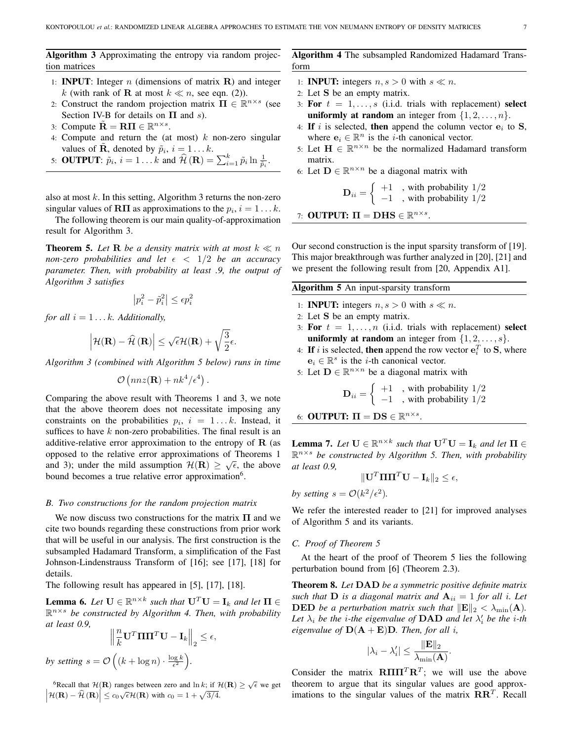Algorithm 3 Approximating the entropy via random projection matrices

- 1: **INPUT**: Integer  $n$  (dimensions of matrix  $\bf{R}$ ) and integer k (with rank of **R** at most  $k \ll n$ , see eqn. (2)).
- 2: Construct the random projection matrix  $\Pi \in \mathbb{R}^{n \times s}$  (see Section IV-B for details on  $\Pi$  and s).
- 3: Compute  $\tilde{\mathbf{R}} = \mathbf{R}\mathbf{\Pi} \in \mathbb{R}^{n \times s}$ .
- 4: Compute and return the (at most)  $k$  non-zero singular values of  $\tilde{\mathbf{R}}$ , denoted by  $\tilde{p}_i$ ,  $i = 1...k$ .
- 5: **OUTPUT**:  $\tilde{p}_i$ ,  $i = 1...k$  and  $\hat{\mathcal{H}}(\mathbf{R}) = \sum_{i=1}^k \tilde{p}_i \ln \frac{1}{\tilde{p}_i}$ .

also at most  $k$ . In this setting, Algorithm 3 returns the non-zero singular values of **RII** as approximations to the  $p_i$ ,  $i = 1...k$ .

The following theorem is our main quality-of-approximation result for Algorithm 3.

**Theorem 5.** Let **R** be a density matrix with at most  $k \ll n$ *non-zero probabilities and let*  $\epsilon$   $\langle$  1/2 *be an accuracy parameter. Then, with probability at least .9, the output of Algorithm 3 satisfies*

$$
\left| p_i^2 - \tilde{p}_i^2 \right| \le \epsilon p_i^2
$$

*for all*  $i = 1...k$ *. Additionally,* 

$$
\left|\mathcal{H}(\mathbf{R}) - \widehat{\mathcal{H}}\left(\mathbf{R}\right)\right| \leq \sqrt{\epsilon}\mathcal{H}(\mathbf{R}) + \sqrt{\frac{3}{2}}\epsilon.
$$

*Algorithm 3 (combined with Algorithm 5 below) runs in time*

$$
\mathcal{O}\left(nnz(\mathbf{R}) + nk^4/\epsilon^4\right)
$$

.

Comparing the above result with Theorems 1 and 3, we note that the above theorem does not necessitate imposing any constraints on the probabilities  $p_i$ ,  $i = 1...k$ . Instead, it suffices to have  $k$  non-zero probabilities. The final result is an additive-relative error approximation to the entropy of  **(as** opposed to the relative error approximations of Theorems 1 and 3); under the mild assumption  $\mathcal{H}(\mathbf{R}) \geq \sqrt{\epsilon}$ , the above bound becomes a true relative error approximation<sup>6</sup>.

#### *B. Two constructions for the random projection matrix*

We now discuss two constructions for the matrix  $\Pi$  and we cite two bounds regarding these constructions from prior work that will be useful in our analysis. The first construction is the subsampled Hadamard Transform, a simplification of the Fast Johnson-Lindenstrauss Transform of [16]; see [17], [18] for details.

The following result has appeared in [5], [17], [18].

**Lemma 6.** Let  $\mathbf{U} \in \mathbb{R}^{n \times k}$  such that  $\mathbf{U}^T \mathbf{U} = \mathbf{I}_k$  and let  $\mathbf{\Pi} \in$ R <sup>n</sup>×<sup>s</sup> *be constructed by Algorithm 4. Then, with probability at least 0.9,*

$$
\left\| \frac{n}{k} \mathbf{U}^T \mathbf{\Pi} \mathbf{\Pi}^T \mathbf{U} - \mathbf{I}_k \right\|_2 \le \epsilon,
$$
  
by setting  $s = \mathcal{O}\left( (k + \log n) \cdot \frac{\log k}{\epsilon^2} \right).$ 

<sup>6</sup>Recall that  $\mathcal{H}(\mathbf{R})$  ranges between zero and  $\ln k$ ; if  $\mathcal{H}(\mathbf{R}) \geq \sqrt{\epsilon}$  we get  $\left|\mathcal{H}(\mathbf{R}) - \hat{\mathcal{H}}(\mathbf{R})\right| \leq c_0\sqrt{\epsilon}\mathcal{H}(\mathbf{R})$  with  $c_0 = 1 + \sqrt{3/4}$ .

Algorithm 4 The subsampled Randomized Hadamard Transform

- 1: **INPUT:** integers  $n, s > 0$  with  $s \ll n$ .
- 2: Let S be an empty matrix.
- 3: For  $t = 1, \ldots, s$  (i.i.d. trials with replacement) select uniformly at random an integer from  $\{1, 2, \ldots, n\}$ .
- 4: If i is selected, then append the column vector  $e_i$  to S, where  $e_i \in \mathbb{R}^n$  is the *i*-th canonical vector.
- 5: Let  $\mathbf{H} \in \mathbb{R}^{n \times n}$  be the normalized Hadamard transform matrix.
- 6: Let  $\mathbf{D} \in \mathbb{R}^{n \times n}$  be a diagonal matrix with

$$
\mathbf{D}_{ii} = \left\{ \begin{array}{c} +1 \\ -1 \end{array} \right., \text{ with probability } 1/2
$$

7: OUTPUT:  $\Pi = \textbf{D} \textbf{H} \textbf{S} \in \mathbb{R}^{n \times s}$ .

Our second construction is the input sparsity transform of [19]. This major breakthrough was further analyzed in [20], [21] and we present the following result from [20, Appendix A1].

Algorithm 5 An input-sparsity transform

- 1: **INPUT:** integers  $n, s > 0$  with  $s \ll n$ .
- 2: Let S be an empty matrix.
- 3: For  $t = 1, \ldots, n$  (i.i.d. trials with replacement) select uniformly at random an integer from  $\{1, 2, \ldots, s\}$ .
- 4: If i is selected, then append the row vector  $\mathbf{e}_i^T$  to **S**, where  $e_i \in \mathbb{R}^s$  is the *i*-th canonical vector.
- 5: Let  $\mathbf{D} \in \mathbb{R}^{n \times n}$  be a diagonal matrix with

$$
\mathbf{D}_{ii} = \begin{cases} +1 & , \text{ with probability } 1/2 \\ -1 & , \text{ with probability } 1/2 \end{cases}
$$

6: OUTPUT:  $\Pi = DS \in \mathbb{R}^{n \times s}$ .

**Lemma 7.** Let  $\mathbf{U} \in \mathbb{R}^{n \times k}$  such that  $\mathbf{U}^T \mathbf{U} = \mathbf{I}_k$  and let  $\mathbf{\Pi} \in$ R <sup>n</sup>×<sup>s</sup> *be constructed by Algorithm 5. Then, with probability at least 0.9,*

$$
\|\mathbf{U}^T\mathbf{\Pi}\mathbf{\Pi}^T\mathbf{U} - \mathbf{I}_k\|_2 \le \epsilon,
$$

*by setting*  $s = \mathcal{O}(k^2/\epsilon^2)$ *.* 

We refer the interested reader to [21] for improved analyses of Algorithm 5 and its variants.

#### *C. Proof of Theorem 5*

At the heart of the proof of Theorem 5 lies the following perturbation bound from [6] (Theorem 2.3).

Theorem 8. *Let* DAD *be a symmetric positive definite matrix such that*  $D$  *is a diagonal matrix and*  $A_{ii} = 1$  *for all i. Let* **DED** be a perturbation matrix such that  $\|\mathbf{E}\|_2 < \lambda_{\min}(\mathbf{A})$ . Let  $\lambda_i$  be the *i*-the eigenvalue of **DAD** and let  $\lambda'_i$  be the *i*-th *eigenvalue of*  $D(A + E)D$ *. Then, for all i,* 

$$
|\lambda_i - \lambda_i'| \leq \frac{\|\mathbf{E}\|_2}{\lambda_{\min}(\mathbf{A})}.
$$

Consider the matrix  $\textbf{R} \Pi \Pi^T \textbf{R}^T$ ; we will use the above theorem to argue that its singular values are good approximations to the singular values of the matrix  $\mathbf{R}\mathbf{R}^T$ . Recall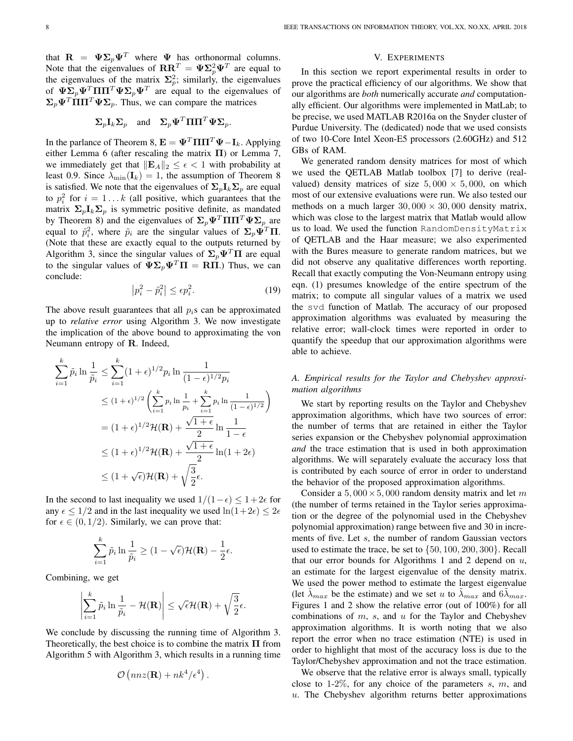that  $\mathbf{R} = \Psi \Sigma_p \Psi^T$  where  $\Psi$  has orthonormal columns. Note that the eigenvalues of  $\mathbf{R} \mathbf{R}^T = \mathbf{\Psi} \mathbf{\Sigma}_p^2 \mathbf{\Psi}^T$  are equal to the eigenvalues of the matrix  $\Sigma_p^2$ ; similarly, the eigenvalues of  $\Psi \Sigma_p \Psi^T \Pi \Pi^T \Psi \Sigma_p \Psi^T$  are equal to the eigenvalues of  $\Sigma_p \Psi^T \Pi \Pi^T \Psi \Sigma_p$ . Thus, we can compare the matrices

$$
\Sigma_p \mathbf{I}_k \Sigma_p
$$
 and  $\Sigma_p \Psi^T \Pi \Pi^T \Psi \Sigma_p$ .

In the parlance of Theorem 8,  $\mathbf{E} = \mathbf{\Psi}^T \Pi \Pi^T \mathbf{\Psi} - \mathbf{I}_k$ . Applying either Lemma 6 (after rescaling the matrix  $\Pi$ ) or Lemma 7, we immediately get that  $||\mathbf{E}_A||_2 \leq \epsilon < 1$  with probability at least 0.9. Since  $\lambda_{\min}(\mathbf{I}_k) = 1$ , the assumption of Theorem 8 is satisfied. We note that the eigenvalues of  $\Sigma_p I_k \Sigma_p$  are equal to  $p_i^2$  for  $i = 1...k$  (all positive, which guarantees that the matrix  $\Sigma_p I_k \Sigma_p$  is symmetric positive definite, as mandated by Theorem 8) and the eigenvalues of  $\Sigma_p \Psi^T \Pi \Pi^T \Psi \Sigma_p$  are equal to  $\tilde{p}_i^2$ , where  $\tilde{p}_i$  are the singular values of  $\Sigma_p \tilde{\Psi}^T \Pi$ . (Note that these are exactly equal to the outputs returned by Algorithm 3, since the singular values of  $\Sigma_p \Psi^T \Pi$  are equal to the singular values of  $\Psi \Sigma_p \Psi^T \Pi = \Pi \Pi$ .) Thus, we can conclude:

$$
\left| p_i^2 - \tilde{p}_i^2 \right| \le \epsilon p_i^2. \tag{19}
$$

The above result guarantees that all  $p_i$ s can be approximated up to *relative error* using Algorithm 3. We now investigate the implication of the above bound to approximating the von Neumann entropy of R. Indeed,

$$
\sum_{i=1}^{k} \tilde{p}_i \ln \frac{1}{\tilde{p}_i} \le \sum_{i=1}^{k} (1+\epsilon)^{1/2} p_i \ln \frac{1}{(1-\epsilon)^{1/2} p_i}
$$
  
\n
$$
\le (1+\epsilon)^{1/2} \left( \sum_{i=1}^{k} p_i \ln \frac{1}{p_i} + \sum_{i=1}^{k} p_i \ln \frac{1}{(1-\epsilon)^{1/2}} \right)
$$
  
\n
$$
= (1+\epsilon)^{1/2} \mathcal{H}(\mathbf{R}) + \frac{\sqrt{1+\epsilon}}{2} \ln \frac{1}{1-\epsilon}
$$
  
\n
$$
\le (1+\epsilon)^{1/2} \mathcal{H}(\mathbf{R}) + \frac{\sqrt{1+\epsilon}}{2} \ln(1+2\epsilon)
$$
  
\n
$$
\le (1+\sqrt{\epsilon}) \mathcal{H}(\mathbf{R}) + \sqrt{\frac{3}{2}} \epsilon.
$$

In the second to last inequality we used  $1/(1-\epsilon) \leq 1+2\epsilon$  for any  $\epsilon \leq 1/2$  and in the last inequality we used  $\ln(1+2\epsilon) \leq 2\epsilon$ for  $\epsilon \in (0, 1/2)$ . Similarly, we can prove that:

$$
\sum_{i=1}^k \tilde{p}_i \ln \frac{1}{\tilde{p}_i} \ge (1 - \sqrt{\epsilon}) \mathcal{H}(\mathbf{R}) - \frac{1}{2} \epsilon.
$$

Combining, we get

$$
\left|\sum_{i=1}^k \tilde{p}_i \ln \frac{1}{\tilde{p}_i} - \mathcal{H}(\mathbf{R})\right| \leq \sqrt{\epsilon} \mathcal{H}(\mathbf{R}) + \sqrt{\frac{3}{2}} \epsilon.
$$

We conclude by discussing the running time of Algorithm 3. Theoretically, the best choice is to combine the matrix  $\Pi$  from Algorithm 5 with Algorithm 3, which results in a running time

$$
\mathcal{O}\left(nnz(\mathbf{R}) + nk^4/\epsilon^4\right)
$$

.

## V. EXPERIMENTS

In this section we report experimental results in order to prove the practical efficiency of our algorithms. We show that our algorithms are *both* numerically accurate *and* computationally efficient. Our algorithms were implemented in MatLab; to be precise, we used MATLAB R2016a on the Snyder cluster of Purdue University. The (dedicated) node that we used consists of two 10-Core Intel Xeon-E5 processors (2.60GHz) and 512 GBs of RAM.

We generated random density matrices for most of which we used the QETLAB Matlab toolbox [7] to derive (realvalued) density matrices of size  $5,000 \times 5,000$ , on which most of our extensive evaluations were run. We also tested our methods on a much larger  $30,000 \times 30,000$  density matrix, which was close to the largest matrix that Matlab would allow us to load. We used the function RandomDensityMatrix of QETLAB and the Haar measure; we also experimented with the Bures measure to generate random matrices, but we did not observe any qualitative differences worth reporting. Recall that exactly computing the Von-Neumann entropy using eqn. (1) presumes knowledge of the entire spectrum of the matrix; to compute all singular values of a matrix we used the svd function of Matlab. The accuracy of our proposed approximation algorithms was evaluated by measuring the relative error; wall-clock times were reported in order to quantify the speedup that our approximation algorithms were able to achieve.

# *A. Empirical results for the Taylor and Chebyshev approximation algorithms*

We start by reporting results on the Taylor and Chebyshev approximation algorithms, which have two sources of error: the number of terms that are retained in either the Taylor series expansion or the Chebyshev polynomial approximation *and* the trace estimation that is used in both approximation algorithms. We will separately evaluate the accuracy loss that is contributed by each source of error in order to understand the behavior of the proposed approximation algorithms.

Consider a 5, 000  $\times$  5, 000 random density matrix and let m (the number of terms retained in the Taylor series approximation or the degree of the polynomial used in the Chebyshev polynomial approximation) range between five and 30 in increments of five. Let s, the number of random Gaussian vectors used to estimate the trace, be set to {50, 100, 200, 300}. Recall that our error bounds for Algorithms 1 and 2 depend on  $u$ , an estimate for the largest eigenvalue of the density matrix. We used the power method to estimate the largest eigenvalue (let  $\lambda_{max}$  be the estimate) and we set u to  $\lambda_{max}$  and  $6\lambda_{max}$ . Figures 1 and 2 show the relative error (out of 100%) for all combinations of  $m$ ,  $s$ , and  $u$  for the Taylor and Chebyshev approximation algorithms. It is worth noting that we also report the error when no trace estimation (NTE) is used in order to highlight that most of the accuracy loss is due to the Taylor/Chebyshev approximation and not the trace estimation.

We observe that the relative error is always small, typically close to 1-2%, for any choice of the parameters  $s, m$ , and  $u$ . The Chebyshev algorithm returns better approximations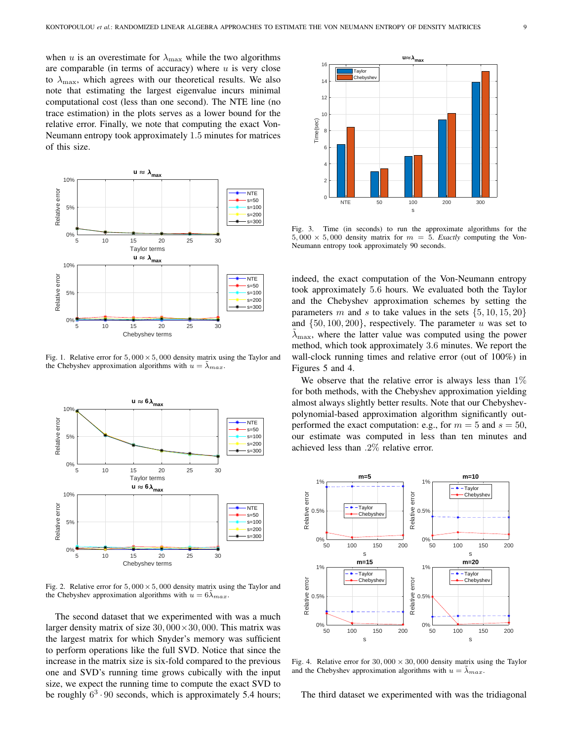when u is an overestimate for  $\lambda_{\text{max}}$  while the two algorithms are comparable (in terms of accuracy) where  $u$  is very close to  $\lambda_{\text{max}}$ , which agrees with our theoretical results. We also note that estimating the largest eigenvalue incurs minimal computational cost (less than one second). The NTE line (no trace estimation) in the plots serves as a lower bound for the relative error. Finally, we note that computing the exact Von-Neumann entropy took approximately 1.5 minutes for matrices of this size.



Fig. 1. Relative error for  $5,000 \times 5,000$  density matrix using the Taylor and the Chebyshev approximation algorithms with  $u = \lambda_{max}$ .



Fig. 2. Relative error for  $5,000 \times 5,000$  density matrix using the Taylor and the Chebyshev approximation algorithms with  $u = 6\tilde{\lambda}_{max}$ .

The second dataset that we experimented with was a much larger density matrix of size  $30,000 \times 30,000$ . This matrix was the largest matrix for which Snyder's memory was sufficient to perform operations like the full SVD. Notice that since the increase in the matrix size is six-fold compared to the previous one and SVD's running time grows cubically with the input size, we expect the running time to compute the exact SVD to be roughly  $6<sup>3</sup> \cdot 90$  seconds, which is approximately 5.4 hours;



Fig. 3. Time (in seconds) to run the approximate algorithms for the  $5,000 \times 5,000$  density matrix for  $m = 5$ . *Exactly* computing the Von-Neumann entropy took approximately 90 seconds.

indeed, the exact computation of the Von-Neumann entropy took approximately 5.6 hours. We evaluated both the Taylor and the Chebyshev approximation schemes by setting the parameters m and s to take values in the sets  $\{5, 10, 15, 20\}$ and  $\{50, 100, 200\}$ , respectively. The parameter u was set to  $\lambda_{\text{max}}$ , where the latter value was computed using the power method, which took approximately 3.6 minutes. We report the wall-clock running times and relative error (out of 100%) in Figures 5 and 4.

We observe that the relative error is always less than  $1\%$ for both methods, with the Chebyshev approximation yielding almost always slightly better results. Note that our Chebyshevpolynomial-based approximation algorithm significantly outperformed the exact computation: e.g., for  $m = 5$  and  $s = 50$ , our estimate was computed in less than ten minutes and achieved less than .2% relative error.



Fig. 4. Relative error for  $30,000 \times 30,000$  density matrix using the Taylor and the Chebyshev approximation algorithms with  $u = \lambda_{max}$ .

The third dataset we experimented with was the tridiagonal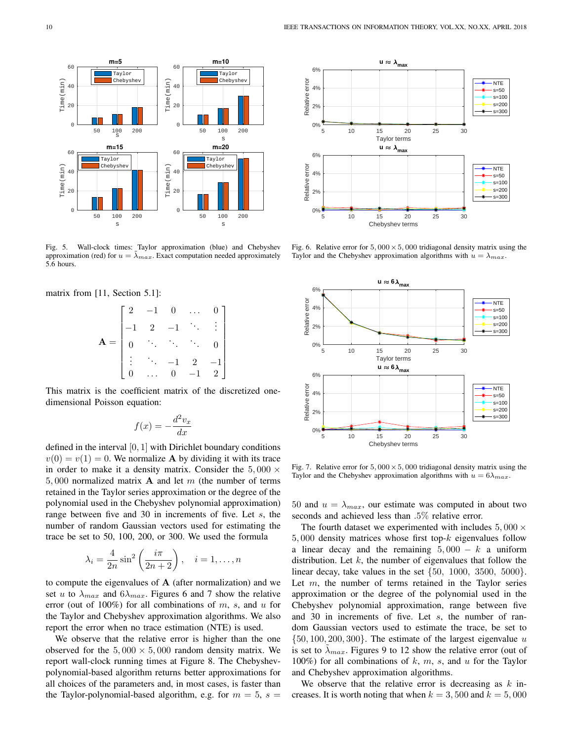

Fig. 5. Wall-clock times: Taylor approximation (blue) and Chebyshev approximation (red) for  $u = \lambda_{max}$ . Exact computation needed approximately 5.6 hours.

matrix from [11, Section 5.1]:

$$
\mathbf{A} = \begin{bmatrix} 2 & -1 & 0 & \dots & 0 \\ -1 & 2 & -1 & \ddots & \vdots \\ 0 & \ddots & \ddots & \ddots & 0 \\ \vdots & \ddots & -1 & 2 & -1 \\ 0 & \dots & 0 & -1 & 2 \end{bmatrix}
$$

This matrix is the coefficient matrix of the discretized onedimensional Poisson equation:

$$
f(x) = -\frac{d^2v_x}{dx}
$$

defined in the interval  $[0, 1]$  with Dirichlet boundary conditions  $v(0) = v(1) = 0$ . We normalize **A** by dividing it with its trace in order to make it a density matrix. Consider the  $5,000 \times$ 5,000 normalized matrix **A** and let m (the number of terms retained in the Taylor series approximation or the degree of the polynomial used in the Chebyshev polynomial approximation) range between five and 30 in increments of five. Let s, the number of random Gaussian vectors used for estimating the trace be set to 50, 100, 200, or 300. We used the formula

$$
\lambda_i = \frac{4}{2n} \sin^2 \left( \frac{i\pi}{2n+2} \right), \quad i = 1, \dots, n
$$

to compute the eigenvalues of  $A$  (after normalization) and we set u to  $\lambda_{max}$  and  $6\lambda_{max}$ . Figures 6 and 7 show the relative error (out of 100%) for all combinations of  $m$ ,  $s$ , and  $u$  for the Taylor and Chebyshev approximation algorithms. We also report the error when no trace estimation (NTE) is used.

We observe that the relative error is higher than the one observed for the  $5,000 \times 5,000$  random density matrix. We report wall-clock running times at Figure 8. The Chebyshevpolynomial-based algorithm returns better approximations for all choices of the parameters and, in most cases, is faster than the Taylor-polynomial-based algorithm, e.g. for  $m = 5$ ,  $s =$ 



Fig. 6. Relative error for  $5,000 \times 5,000$  tridiagonal density matrix using the Taylor and the Chebyshev approximation algorithms with  $u = \lambda_{max}$ .



Fig. 7. Relative error for  $5,000 \times 5,000$  tridiagonal density matrix using the Taylor and the Chebyshev approximation algorithms with  $u = 6\lambda_{max}$ .

50 and  $u = \lambda_{max}$ , our estimate was computed in about two seconds and achieved less than .5% relative error.

The fourth dataset we experimented with includes  $5,000 \times$  $5,000$  density matrices whose first top- $k$  eigenvalues follow a linear decay and the remaining  $5,000 - k$  a uniform distribution. Let  $k$ , the number of eigenvalues that follow the linear decay, take values in the set  $\{50, 1000, 3500, 5000\}.$ Let  $m$ , the number of terms retained in the Taylor series approximation or the degree of the polynomial used in the Chebyshev polynomial approximation, range between five and 30 in increments of five. Let s, the number of random Gaussian vectors used to estimate the trace, be set to  $\{50, 100, 200, 300\}$ . The estimate of the largest eigenvalue u is set to  $\lambda_{max}$ . Figures 9 to 12 show the relative error (out of 100%) for all combinations of  $k, m, s$ , and  $u$  for the Taylor and Chebyshev approximation algorithms.

We observe that the relative error is decreasing as  $k$  increases. It is worth noting that when  $k = 3,500$  and  $k = 5,000$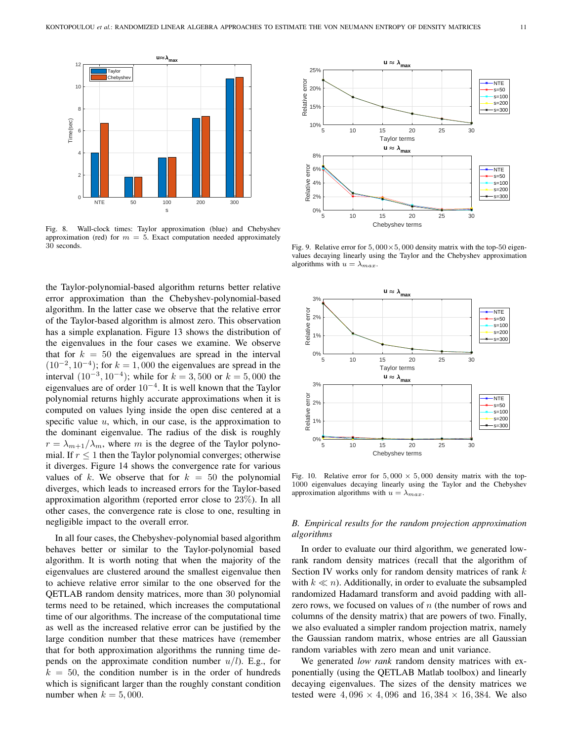

Fig. 8. Wall-clock times: Taylor approximation (blue) and Chebyshev approximation (red) for  $m = 5$ . Exact computation needed approximately 30 seconds.

the Taylor-polynomial-based algorithm returns better relative error approximation than the Chebyshev-polynomial-based algorithm. In the latter case we observe that the relative error of the Taylor-based algorithm is almost zero. This observation has a simple explanation. Figure 13 shows the distribution of the eigenvalues in the four cases we examine. We observe that for  $k = 50$  the eigenvalues are spread in the interval  $(10^{-2}, 10^{-4})$ ; for  $k = 1,000$  the eigenvalues are spread in the interval  $(10^{-3}, 10^{-4})$ ; while for  $k = 3,500$  or  $k = 5,000$  the eigenvalues are of order  $10^{-4}$ . It is well known that the Taylor polynomial returns highly accurate approximations when it is computed on values lying inside the open disc centered at a specific value  $u$ , which, in our case, is the approximation to the dominant eigenvalue. The radius of the disk is roughly  $r = \lambda_{m+1}/\lambda_m$ , where m is the degree of the Taylor polynomial. If  $r \leq 1$  then the Taylor polynomial converges; otherwise it diverges. Figure 14 shows the convergence rate for various values of k. We observe that for  $k = 50$  the polynomial diverges, which leads to increased errors for the Taylor-based approximation algorithm (reported error close to 23%). In all other cases, the convergence rate is close to one, resulting in negligible impact to the overall error.

In all four cases, the Chebyshev-polynomial based algorithm behaves better or similar to the Taylor-polynomial based algorithm. It is worth noting that when the majority of the eigenvalues are clustered around the smallest eigenvalue then to achieve relative error similar to the one observed for the QETLAB random density matrices, more than 30 polynomial terms need to be retained, which increases the computational time of our algorithms. The increase of the computational time as well as the increased relative error can be justified by the large condition number that these matrices have (remember that for both approximation algorithms the running time depends on the approximate condition number  $u/l$ ). E.g., for  $k = 50$ , the condition number is in the order of hundreds which is significant larger than the roughly constant condition number when  $k = 5,000$ .



Fig. 9. Relative error for  $5,000 \times 5,000$  density matrix with the top-50 eigenvalues decaying linearly using the Taylor and the Chebyshev approximation algorithms with  $u = \lambda_{max}$ .



Fig. 10. Relative error for  $5,000 \times 5,000$  density matrix with the top-1000 eigenvalues decaying linearly using the Taylor and the Chebyshev approximation algorithms with  $u = \lambda_{max}$ .

# *B. Empirical results for the random projection approximation algorithms*

In order to evaluate our third algorithm, we generated lowrank random density matrices (recall that the algorithm of Section IV works only for random density matrices of rank  $k$ with  $k \ll n$ ). Additionally, in order to evaluate the subsampled randomized Hadamard transform and avoid padding with allzero rows, we focused on values of  $n$  (the number of rows and columns of the density matrix) that are powers of two. Finally, we also evaluated a simpler random projection matrix, namely the Gaussian random matrix, whose entries are all Gaussian random variables with zero mean and unit variance.

We generated *low rank* random density matrices with exponentially (using the QETLAB Matlab toolbox) and linearly decaying eigenvalues. The sizes of the density matrices we tested were  $4,096 \times 4,096$  and  $16,384 \times 16,384$ . We also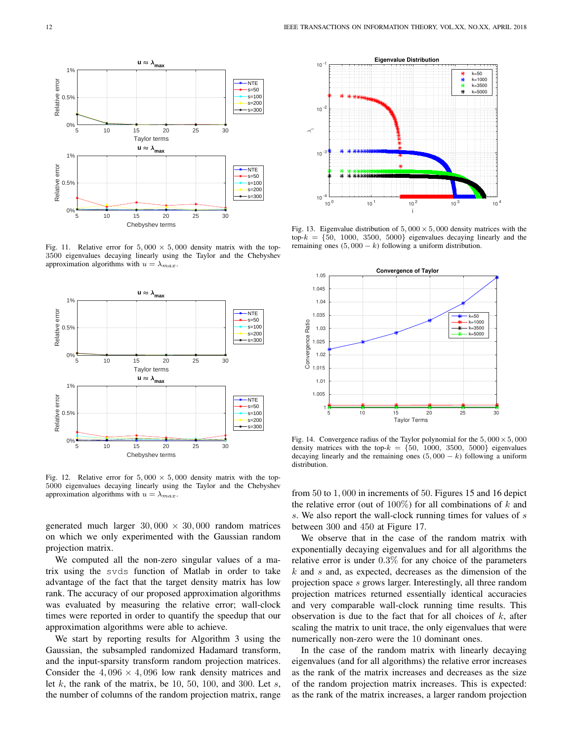

Fig. 11. Relative error for  $5,000 \times 5,000$  density matrix with the top-3500 eigenvalues decaying linearly using the Taylor and the Chebyshev approximation algorithms with  $u = \lambda_{max}$ .



Fig. 12. Relative error for  $5,000 \times 5,000$  density matrix with the top-5000 eigenvalues decaying linearly using the Taylor and the Chebyshev approximation algorithms with  $u = \lambda_{max}$ .

generated much larger  $30,000 \times 30,000$  random matrices on which we only experimented with the Gaussian random projection matrix.

We computed all the non-zero singular values of a matrix using the svds function of Matlab in order to take advantage of the fact that the target density matrix has low rank. The accuracy of our proposed approximation algorithms was evaluated by measuring the relative error; wall-clock times were reported in order to quantify the speedup that our approximation algorithms were able to achieve.

We start by reporting results for Algorithm 3 using the Gaussian, the subsampled randomized Hadamard transform, and the input-sparsity transform random projection matrices. Consider the  $4,096 \times 4,096$  low rank density matrices and let  $k$ , the rank of the matrix, be 10, 50, 100, and 300. Let  $s$ , the number of columns of the random projection matrix, range



Fig. 13. Eigenvalue distribution of  $5,000 \times 5,000$  density matrices with the  $top-k = \{50, 1000, 3500, 5000\}$  eigenvalues decaying linearly and the remaining ones  $(5,000 - k)$  following a uniform distribution.



Fig. 14. Convergence radius of the Taylor polynomial for the  $5,000 \times 5,000$ density matrices with the top- $k = \{50, 1000, 3500, 5000\}$  eigenvalues decaying linearly and the remaining ones  $(5,000 - k)$  following a uniform distribution.

from 50 to 1, 000 in increments of 50. Figures 15 and 16 depict the relative error (out of 100%) for all combinations of  $k$  and s. We also report the wall-clock running times for values of s between 300 and 450 at Figure 17.

We observe that in the case of the random matrix with exponentially decaying eigenvalues and for all algorithms the relative error is under 0.3% for any choice of the parameters  $k$  and  $s$  and, as expected, decreases as the dimension of the projection space s grows larger. Interestingly, all three random projection matrices returned essentially identical accuracies and very comparable wall-clock running time results. This observation is due to the fact that for all choices of  $k$ , after scaling the matrix to unit trace, the only eigenvalues that were numerically non-zero were the 10 dominant ones.

In the case of the random matrix with linearly decaying eigenvalues (and for all algorithms) the relative error increases as the rank of the matrix increases and decreases as the size of the random projection matrix increases. This is expected: as the rank of the matrix increases, a larger random projection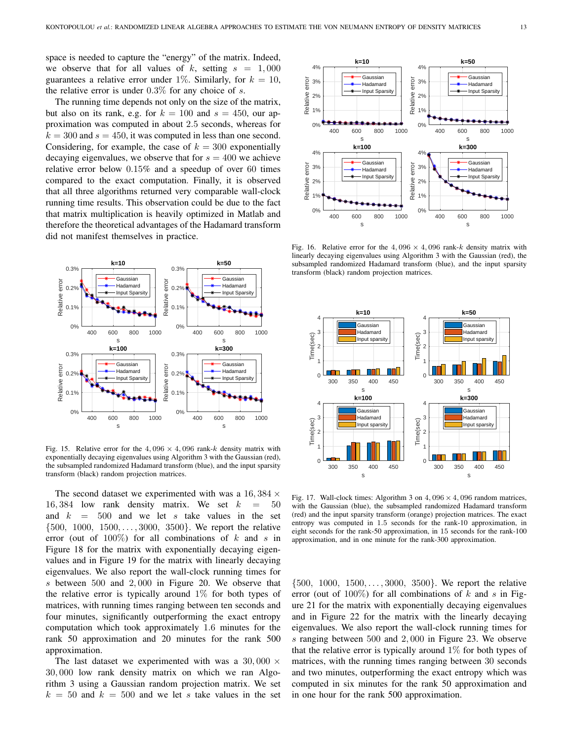space is needed to capture the "energy" of the matrix. Indeed, we observe that for all values of k, setting  $s = 1,000$ guarantees a relative error under 1%. Similarly, for  $k = 10$ , the relative error is under  $0.3\%$  for any choice of s.

The running time depends not only on the size of the matrix, but also on its rank, e.g. for  $k = 100$  and  $s = 450$ , our approximation was computed in about 2.5 seconds, whereas for  $k = 300$  and  $s = 450$ , it was computed in less than one second. Considering, for example, the case of  $k = 300$  exponentially decaying eigenvalues, we observe that for  $s = 400$  we achieve relative error below 0.15% and a speedup of over 60 times compared to the exact computation. Finally, it is observed that all three algorithms returned very comparable wall-clock running time results. This observation could be due to the fact that matrix multiplication is heavily optimized in Matlab and therefore the theoretical advantages of the Hadamard transform did not manifest themselves in practice.



Fig. 15. Relative error for the  $4,096 \times 4,096$  rank-k density matrix with exponentially decaying eigenvalues using Algorithm 3 with the Gaussian (red), the subsampled randomized Hadamard transform (blue), and the input sparsity transform (black) random projection matrices.

The second dataset we experimented with was a  $16,384 \times$ 16, 384 low rank density matrix. We set  $k = 50$ and  $k = 500$  and we let s take values in the set {500, 1000, 1500, . . . , 3000, 3500}. We report the relative error (out of  $100\%$ ) for all combinations of k and s in Figure 18 for the matrix with exponentially decaying eigenvalues and in Figure 19 for the matrix with linearly decaying eigenvalues. We also report the wall-clock running times for s between 500 and 2, 000 in Figure 20. We observe that the relative error is typically around  $1\%$  for both types of matrices, with running times ranging between ten seconds and four minutes, significantly outperforming the exact entropy computation which took approximately 1.6 minutes for the rank 50 approximation and 20 minutes for the rank 500 approximation.

The last dataset we experimented with was a 30,000  $\times$ 30, 000 low rank density matrix on which we ran Algorithm 3 using a Gaussian random projection matrix. We set  $k = 50$  and  $k = 500$  and we let s take values in the set



Fig. 16. Relative error for the  $4,096 \times 4,096$  rank-k density matrix with linearly decaying eigenvalues using Algorithm 3 with the Gaussian (red), the subsampled randomized Hadamard transform (blue), and the input sparsity transform (black) random projection matrices.



Fig. 17. Wall-clock times: Algorithm 3 on  $4,096 \times 4,096$  random matrices, with the Gaussian (blue), the subsampled randomized Hadamard transform (red) and the input sparsity transform (orange) projection matrices. The exact entropy was computed in 1.5 seconds for the rank-10 approximation, in eight seconds for the rank-50 approximation, in 15 seconds for the rank-100 approximation, and in one minute for the rank-300 approximation.

{500, 1000, 1500, . . . , 3000, 3500}. We report the relative error (out of  $100\%$ ) for all combinations of k and s in Figure 21 for the matrix with exponentially decaying eigenvalues and in Figure 22 for the matrix with the linearly decaying eigenvalues. We also report the wall-clock running times for s ranging between 500 and 2, 000 in Figure 23. We observe that the relative error is typically around  $1\%$  for both types of matrices, with the running times ranging between 30 seconds and two minutes, outperforming the exact entropy which was computed in six minutes for the rank 50 approximation and in one hour for the rank 500 approximation.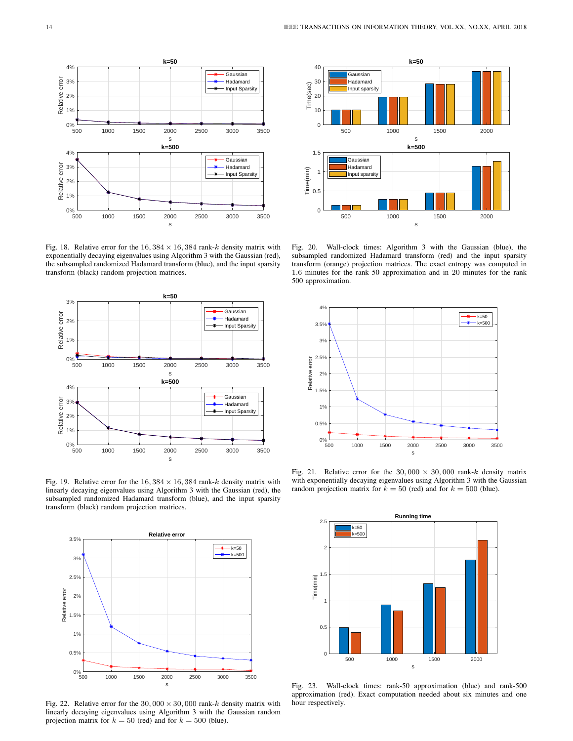

Fig. 18. Relative error for the  $16,384 \times 16,384$  rank-k density matrix with exponentially decaying eigenvalues using Algorithm 3 with the Gaussian (red), the subsampled randomized Hadamard transform (blue), and the input sparsity transform (black) random projection matrices.



Fig. 19. Relative error for the  $16,384 \times 16,384$  rank-k density matrix with linearly decaying eigenvalues using Algorithm 3 with the Gaussian (red), the subsampled randomized Hadamard transform (blue), and the input sparsity transform (black) random projection matrices.



Fig. 22. Relative error for the  $30,000 \times 30,000$  rank-k density matrix with linearly decaying eigenvalues using Algorithm 3 with the Gaussian random projection matrix for  $k = 50$  (red) and for  $k = 500$  (blue).



Fig. 20. Wall-clock times: Algorithm 3 with the Gaussian (blue), the subsampled randomized Hadamard transform (red) and the input sparsity transform (orange) projection matrices. The exact entropy was computed in 1.6 minutes for the rank 50 approximation and in 20 minutes for the rank 500 approximation.



Fig. 21. Relative error for the  $30,000 \times 30,000$  rank-k density matrix with exponentially decaying eigenvalues using Algorithm 3 with the Gaussian random projection matrix for  $k = 50$  (red) and for  $k = 500$  (blue).



Fig. 23. Wall-clock times: rank-50 approximation (blue) and rank-500 approximation (red). Exact computation needed about six minutes and one hour respectively.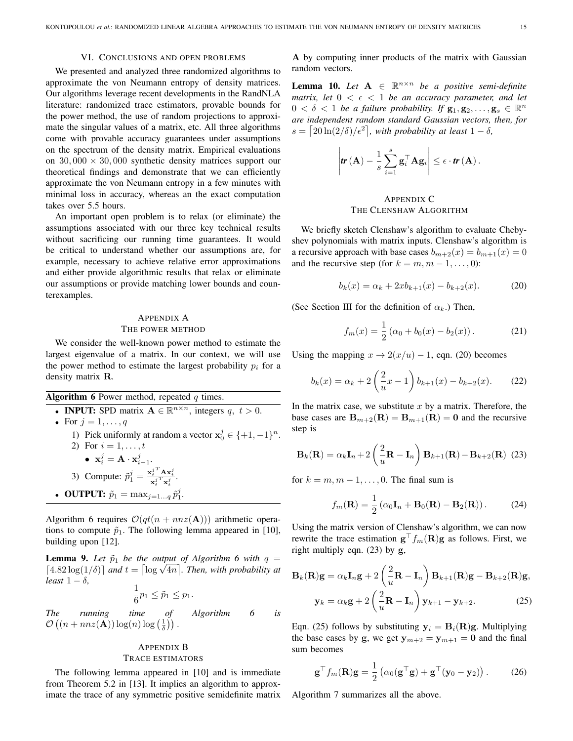## VI. CONCLUSIONS AND OPEN PROBLEMS

We presented and analyzed three randomized algorithms to approximate the von Neumann entropy of density matrices. Our algorithms leverage recent developments in the RandNLA literature: randomized trace estimators, provable bounds for the power method, the use of random projections to approximate the singular values of a matrix, etc. All three algorithms come with provable accuracy guarantees under assumptions on the spectrum of the density matrix. Empirical evaluations on  $30,000 \times 30,000$  synthetic density matrices support our theoretical findings and demonstrate that we can efficiently approximate the von Neumann entropy in a few minutes with minimal loss in accuracy, whereas an the exact computation takes over 5.5 hours.

An important open problem is to relax (or eliminate) the assumptions associated with our three key technical results without sacrificing our running time guarantees. It would be critical to understand whether our assumptions are, for example, necessary to achieve relative error approximations and either provide algorithmic results that relax or eliminate our assumptions or provide matching lower bounds and counterexamples.

# APPENDIX A THE POWER METHOD

We consider the well-known power method to estimate the largest eigenvalue of a matrix. In our context, we will use the power method to estimate the largest probability  $p_i$  for a density matrix R.

Algorithm 6 Power method, repeated  $q$  times. • **INPUT:** SPD matrix  $A \in \mathbb{R}^{n \times n}$ , integers  $q, t > 0$ .

- For  $j = 1, \ldots, q$ 
	- 1) Pick uniformly at random a vector  $\mathbf{x}_0^j \in \{+1, -1\}^n$ .
	- 2) For  $i = 1, ..., t$ •  $\mathbf{x}_i^j = \mathbf{A} \cdot \mathbf{x}_{i-1}^j$ . 3) Compute:  $\tilde{p}_1^j = \frac{{\mathbf{x}_t^j}^T \mathbf{A} {\mathbf{x}_t^j}}{\mathbf{x}_t^j \mathbf{x}_t^j}.$
- OUTPUT:  $\tilde{p}_1 = \max_{j=1...q} \tilde{p}_1^j$ .

Algorithm 6 requires  $\mathcal{O}(qt(n + nnz(\mathbf{A})))$  arithmetic operations to compute  $\tilde{p}_1$ . The following lemma appeared in [10], building upon [12].

**Lemma 9.** Let  $\tilde{p}_1$  be the output of Algorithm 6 with  $q =$ **Lemma 9.** Let  $p_1$  be the output of Atgorithm 6 with  $q = \left[4.82 \log(1/\delta)\right]$  and  $t = \left[\log \sqrt{4n}\right]$ . Then, with probability at *least*  $1 - \delta$ *,* 

$$
\frac{1}{6}p_1 \leq \tilde{p}_1 \leq p_1.
$$

*The running time of Algorithm 6 is*  $\mathcal{O}\left(\left(n+nnz(\mathbf{A})\right)\log(n)\log\left(\frac{1}{\delta}\right)\right).$ 

## APPENDIX B

#### TRACE ESTIMATORS

The following lemma appeared in [10] and is immediate from Theorem 5.2 in [13]. It implies an algorithm to approximate the trace of any symmetric positive semidefinite matrix

A by computing inner products of the matrix with Gaussian random vectors.

**Lemma 10.** Let  $A \in \mathbb{R}^{n \times n}$  be a positive semi-definite *matrix, let*  $0 < \epsilon < 1$  *be an accuracy parameter, and let*  $0 < \delta < 1$  be a failure probability. If  $g_1, g_2, \ldots, g_s \in \mathbb{R}^n$ *are independent random standard Gaussian vectors, then, for*  $s = \left[20\ln(2/\delta)/\epsilon^2\right]$ , with probability at least  $1 - \delta$ ,

$$
\left|\boldsymbol{tr}\left(\mathbf{A}\right)-\frac{1}{s}\sum_{i=1}^{s}\mathbf{g}_{i}^{\top} \mathbf{A}\mathbf{g}_{i}\right| \leq \epsilon \cdot \boldsymbol{tr}\left(\mathbf{A}\right).
$$

# APPENDIX C THE CLENSHAW ALGORITHM

We briefly sketch Clenshaw's algorithm to evaluate Chebyshev polynomials with matrix inputs. Clenshaw's algorithm is a recursive approach with base cases  $b_{m+2}(x) = b_{m+1}(x) = 0$ and the recursive step (for  $k = m, m - 1, \ldots, 0$ ):

$$
b_k(x) = \alpha_k + 2xb_{k+1}(x) - b_{k+2}(x).
$$
 (20)

(See Section III for the definition of  $\alpha_k$ .) Then,

$$
f_m(x) = \frac{1}{2} (\alpha_0 + b_0(x) - b_2(x)).
$$
 (21)

Using the mapping  $x \to 2(x/u) - 1$ , eqn. (20) becomes

$$
b_k(x) = \alpha_k + 2\left(\frac{2}{u}x - 1\right)b_{k+1}(x) - b_{k+2}(x). \tag{22}
$$

In the matrix case, we substitute  $x$  by a matrix. Therefore, the base cases are  $B_{m+2}(R) = B_{m+1}(R) = 0$  and the recursive step is

$$
\mathbf{B}_{k}(\mathbf{R}) = \alpha_{k} \mathbf{I}_{n} + 2 \left( \frac{2}{u} \mathbf{R} - \mathbf{I}_{n} \right) \mathbf{B}_{k+1}(\mathbf{R}) - \mathbf{B}_{k+2}(\mathbf{R}) \tag{23}
$$

for  $k = m, m - 1, \ldots, 0$ . The final sum is

$$
f_m(\mathbf{R}) = \frac{1}{2} \left( \alpha_0 \mathbf{I}_n + \mathbf{B}_0(\mathbf{R}) - \mathbf{B}_2(\mathbf{R}) \right). \tag{24}
$$

Using the matrix version of Clenshaw's algorithm, we can now rewrite the trace estimation  $\mathbf{g}^\top f_m(\mathbf{R})\mathbf{g}$  as follows. First, we right multiply eqn. (23) by g,

$$
\mathbf{B}_{k}(\mathbf{R})\mathbf{g} = \alpha_{k}\mathbf{I}_{n}\mathbf{g} + 2\left(\frac{2}{u}\mathbf{R} - \mathbf{I}_{n}\right)\mathbf{B}_{k+1}(\mathbf{R})\mathbf{g} - \mathbf{B}_{k+2}(\mathbf{R})\mathbf{g},
$$

$$
\mathbf{y}_{k} = \alpha_{k}\mathbf{g} + 2\left(\frac{2}{u}\mathbf{R} - \mathbf{I}_{n}\right)\mathbf{y}_{k+1} - \mathbf{y}_{k+2}.
$$
 (25)

Eqn. (25) follows by substituting  $y_i = B_i(R)g$ . Multiplying the base cases by g, we get  $y_{m+2} = y_{m+1} = 0$  and the final sum becomes

$$
\mathbf{g}^{\top} f_m(\mathbf{R}) \mathbf{g} = \frac{1}{2} \left( \alpha_0 (\mathbf{g}^{\top} \mathbf{g}) + \mathbf{g}^{\top} (\mathbf{y}_0 - \mathbf{y}_2) \right). \tag{26}
$$

Algorithm 7 summarizes all the above.